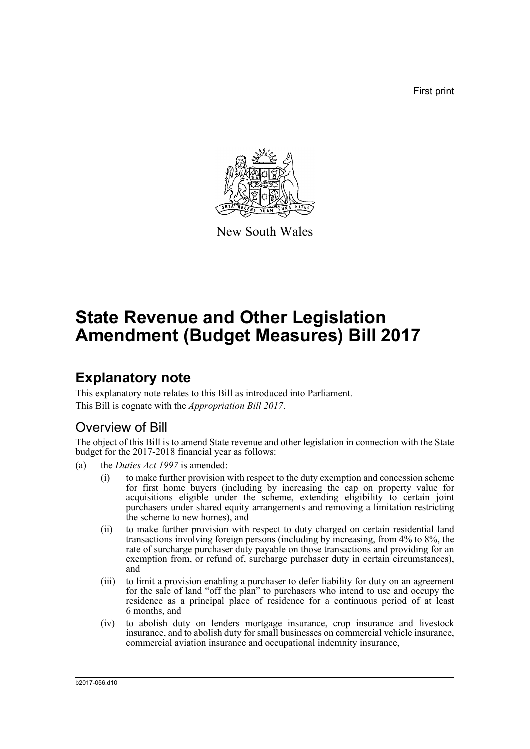First print



New South Wales

# **State Revenue and Other Legislation Amendment (Budget Measures) Bill 2017**

## **Explanatory note**

This explanatory note relates to this Bill as introduced into Parliament. This Bill is cognate with the *Appropriation Bill 2017*.

## Overview of Bill

The object of this Bill is to amend State revenue and other legislation in connection with the State budget for the 2017-2018 financial year as follows:

- (a) the *Duties Act 1997* is amended:
	- (i) to make further provision with respect to the duty exemption and concession scheme for first home buyers (including by increasing the cap on property value for acquisitions eligible under the scheme, extending eligibility to certain joint purchasers under shared equity arrangements and removing a limitation restricting the scheme to new homes), and
	- (ii) to make further provision with respect to duty charged on certain residential land transactions involving foreign persons (including by increasing, from 4% to 8%, the rate of surcharge purchaser duty payable on those transactions and providing for an exemption from, or refund of, surcharge purchaser duty in certain circumstances), and
	- (iii) to limit a provision enabling a purchaser to defer liability for duty on an agreement for the sale of land "off the plan" to purchasers who intend to use and occupy the residence as a principal place of residence for a continuous period of at least 6 months, and
	- (iv) to abolish duty on lenders mortgage insurance, crop insurance and livestock insurance, and to abolish duty for small businesses on commercial vehicle insurance, commercial aviation insurance and occupational indemnity insurance,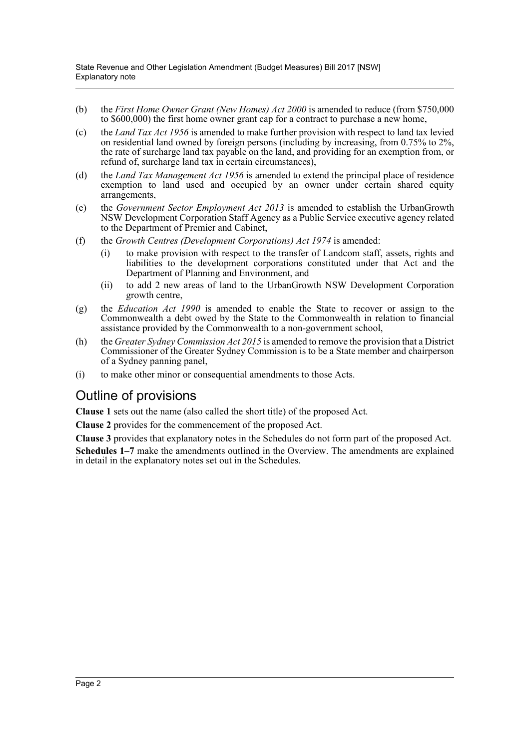- (b) the *First Home Owner Grant (New Homes) Act 2000* is amended to reduce (from \$750,000 to \$600,000) the first home owner grant cap for a contract to purchase a new home,
- (c) the *Land Tax Act 1956* is amended to make further provision with respect to land tax levied on residential land owned by foreign persons (including by increasing, from 0.75% to 2%, the rate of surcharge land tax payable on the land, and providing for an exemption from, or refund of, surcharge land tax in certain circumstances).
- (d) the *Land Tax Management Act 1956* is amended to extend the principal place of residence exemption to land used and occupied by an owner under certain shared equity arrangements,
- (e) the *Government Sector Employment Act 2013* is amended to establish the UrbanGrowth NSW Development Corporation Staff Agency as a Public Service executive agency related to the Department of Premier and Cabinet,
- (f) the *Growth Centres (Development Corporations) Act 1974* is amended:
	- (i) to make provision with respect to the transfer of Landcom staff, assets, rights and liabilities to the development corporations constituted under that Act and the Department of Planning and Environment, and
	- (ii) to add 2 new areas of land to the UrbanGrowth NSW Development Corporation growth centre,
- (g) the *Education Act 1990* is amended to enable the State to recover or assign to the Commonwealth a debt owed by the State to the Commonwealth in relation to financial assistance provided by the Commonwealth to a non-government school,
- (h) the *Greater Sydney Commission Act 2015* is amended to remove the provision that a District Commissioner of the Greater Sydney Commission is to be a State member and chairperson of a Sydney panning panel,
- (i) to make other minor or consequential amendments to those Acts.

## Outline of provisions

**Clause 1** sets out the name (also called the short title) of the proposed Act.

**Clause 2** provides for the commencement of the proposed Act.

**Clause 3** provides that explanatory notes in the Schedules do not form part of the proposed Act.

**Schedules 1–7** make the amendments outlined in the Overview. The amendments are explained in detail in the explanatory notes set out in the Schedules.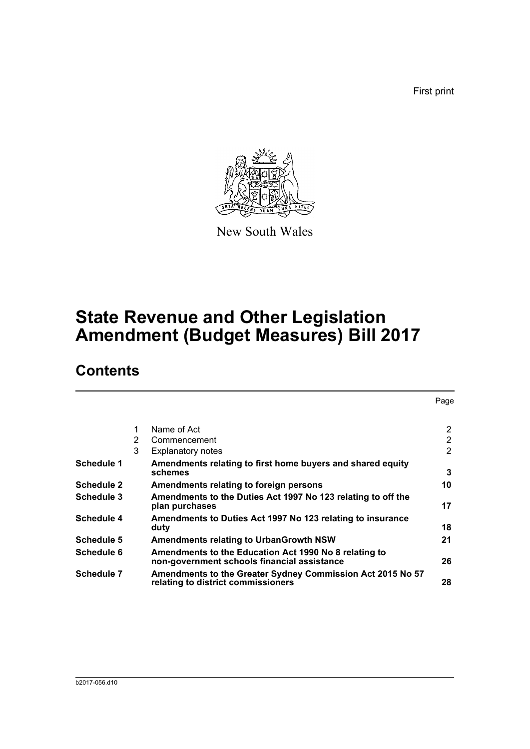First print



New South Wales

# **State Revenue and Other Legislation Amendment (Budget Measures) Bill 2017**

## **Contents**

|                   |   |                                                                                                      | Page           |
|-------------------|---|------------------------------------------------------------------------------------------------------|----------------|
|                   | 1 | Name of Act                                                                                          | $\overline{2}$ |
|                   | 2 | Commencement                                                                                         | $\overline{2}$ |
|                   | 3 | <b>Explanatory notes</b>                                                                             | $\overline{2}$ |
| Schedule 1        |   | Amendments relating to first home buyers and shared equity<br>schemes                                | 3              |
| <b>Schedule 2</b> |   | Amendments relating to foreign persons                                                               | 10             |
| Schedule 3        |   | Amendments to the Duties Act 1997 No 123 relating to off the<br>plan purchases                       | 17             |
| Schedule 4        |   | Amendments to Duties Act 1997 No 123 relating to insurance<br>duty                                   | 18             |
| Schedule 5        |   | <b>Amendments relating to UrbanGrowth NSW</b>                                                        | 21             |
| Schedule 6        |   | Amendments to the Education Act 1990 No 8 relating to<br>non-government schools financial assistance | 26             |
| <b>Schedule 7</b> |   | Amendments to the Greater Sydney Commission Act 2015 No 57<br>relating to district commissioners     | 28             |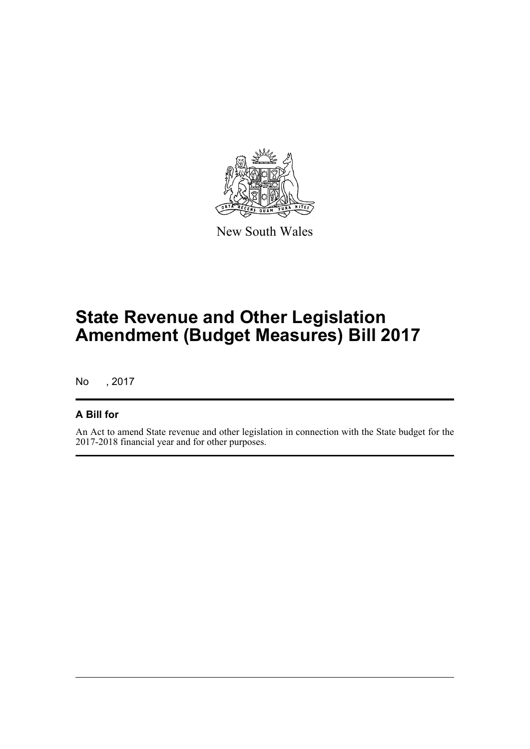

New South Wales

# **State Revenue and Other Legislation Amendment (Budget Measures) Bill 2017**

No , 2017

## **A Bill for**

An Act to amend State revenue and other legislation in connection with the State budget for the 2017-2018 financial year and for other purposes.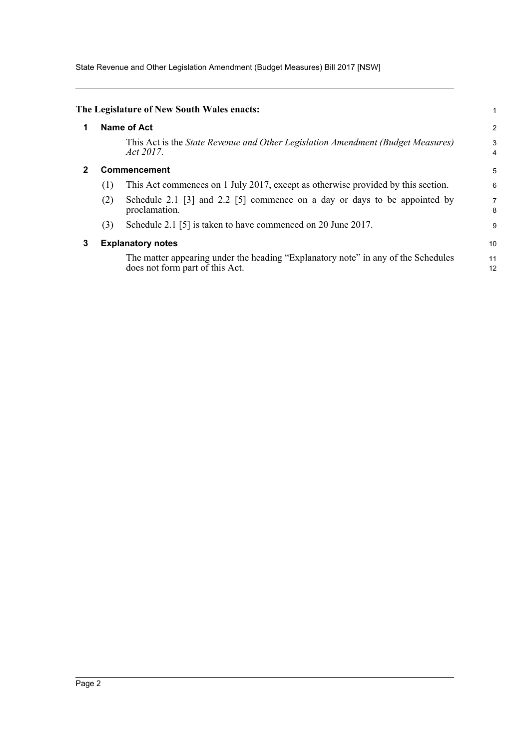State Revenue and Other Legislation Amendment (Budget Measures) Bill 2017 [NSW]

<span id="page-4-2"></span><span id="page-4-1"></span><span id="page-4-0"></span>

| 1 |              | Name of Act                                                                                     | $\overline{2}$      |  |  |
|---|--------------|-------------------------------------------------------------------------------------------------|---------------------|--|--|
|   |              | This Act is the State Revenue and Other Legislation Amendment (Budget Measures)<br>Act $2017$ . | 3<br>$\overline{4}$ |  |  |
| 2 | Commencement |                                                                                                 |                     |  |  |
|   | (1)          | This Act commences on 1 July 2017, except as otherwise provided by this section.                | 6                   |  |  |
|   | (2)          | Schedule 2.1 [3] and 2.2 [5] commence on a day or days to be appointed by<br>proclamation.      | 7<br>8              |  |  |
|   | (3)          | Schedule 2.1 [5] is taken to have commenced on 20 June 2017.                                    | 9                   |  |  |
| 3 |              | <b>Explanatory notes</b>                                                                        | 10                  |  |  |
|   |              | The matter appearing under the heading "Explanatory note" in any of the Schedules               | 11                  |  |  |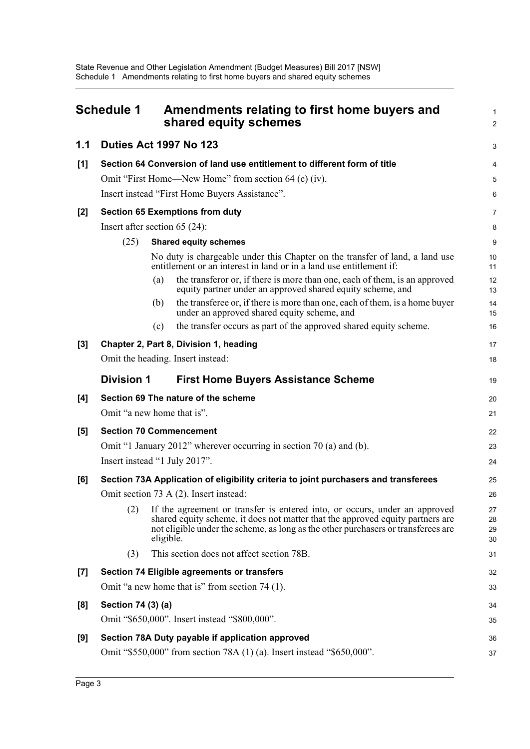<span id="page-5-0"></span>

| <b>Schedule 1</b> |                                                                          | Amendments relating to first home buyers and<br>shared equity schemes                                                                                                                                                                                          |                      |  |  |  |
|-------------------|--------------------------------------------------------------------------|----------------------------------------------------------------------------------------------------------------------------------------------------------------------------------------------------------------------------------------------------------------|----------------------|--|--|--|
| 1.1               |                                                                          | <b>Duties Act 1997 No 123</b>                                                                                                                                                                                                                                  | 3                    |  |  |  |
| [1]               | Section 64 Conversion of land use entitlement to different form of title |                                                                                                                                                                                                                                                                |                      |  |  |  |
|                   |                                                                          | Omit "First Home—New Home" from section 64 (c) (iv).                                                                                                                                                                                                           | 5                    |  |  |  |
|                   |                                                                          | Insert instead "First Home Buyers Assistance".                                                                                                                                                                                                                 | 6                    |  |  |  |
| $[2]$             |                                                                          | <b>Section 65 Exemptions from duty</b>                                                                                                                                                                                                                         | $\overline{7}$       |  |  |  |
|                   |                                                                          | Insert after section 65 (24):                                                                                                                                                                                                                                  | 8                    |  |  |  |
|                   | (25)                                                                     | <b>Shared equity schemes</b>                                                                                                                                                                                                                                   | 9                    |  |  |  |
|                   |                                                                          | No duty is chargeable under this Chapter on the transfer of land, a land use<br>entitlement or an interest in land or in a land use entitlement if:                                                                                                            | 10<br>11             |  |  |  |
|                   |                                                                          | the transferor or, if there is more than one, each of them, is an approved<br>(a)<br>equity partner under an approved shared equity scheme, and                                                                                                                | 12<br>13             |  |  |  |
|                   |                                                                          | the transferee or, if there is more than one, each of them, is a home buyer<br>(b)<br>under an approved shared equity scheme, and                                                                                                                              | 14<br>15             |  |  |  |
|                   |                                                                          | the transfer occurs as part of the approved shared equity scheme.<br>(c)                                                                                                                                                                                       | 16                   |  |  |  |
| $[3]$             |                                                                          | Chapter 2, Part 8, Division 1, heading                                                                                                                                                                                                                         | 17                   |  |  |  |
|                   |                                                                          | Omit the heading. Insert instead:                                                                                                                                                                                                                              | 18                   |  |  |  |
|                   | <b>Division 1</b>                                                        | <b>First Home Buyers Assistance Scheme</b>                                                                                                                                                                                                                     | 19                   |  |  |  |
| [4]               |                                                                          | Section 69 The nature of the scheme                                                                                                                                                                                                                            | 20                   |  |  |  |
|                   |                                                                          | Omit "a new home that is".                                                                                                                                                                                                                                     | 21                   |  |  |  |
| [5]               |                                                                          | <b>Section 70 Commencement</b>                                                                                                                                                                                                                                 | 22                   |  |  |  |
|                   | Omit "1 January 2012" wherever occurring in section 70 (a) and (b).      |                                                                                                                                                                                                                                                                |                      |  |  |  |
|                   |                                                                          | Insert instead "1 July 2017".                                                                                                                                                                                                                                  | 24                   |  |  |  |
| [6]               |                                                                          | Section 73A Application of eligibility criteria to joint purchasers and transferees                                                                                                                                                                            | 25                   |  |  |  |
|                   |                                                                          | Omit section 73 A (2). Insert instead:                                                                                                                                                                                                                         | 26                   |  |  |  |
|                   | (2)                                                                      | If the agreement or transfer is entered into, or occurs, under an approved<br>shared equity scheme, it does not matter that the approved equity partners are<br>not eligible under the scheme, as long as the other purchasers or transferees are<br>eligible. | 27<br>28<br>29<br>30 |  |  |  |
|                   | (3)                                                                      | This section does not affect section 78B.                                                                                                                                                                                                                      | 31                   |  |  |  |
| $[7]$             |                                                                          | <b>Section 74 Eligible agreements or transfers</b>                                                                                                                                                                                                             | 32                   |  |  |  |
|                   |                                                                          | Omit "a new home that is" from section 74 (1).                                                                                                                                                                                                                 | 33                   |  |  |  |
| [8]               | Section 74 (3) (a)                                                       |                                                                                                                                                                                                                                                                | 34                   |  |  |  |
|                   |                                                                          | Omit "\$650,000". Insert instead "\$800,000".                                                                                                                                                                                                                  | 35                   |  |  |  |
| [9]               |                                                                          | Section 78A Duty payable if application approved                                                                                                                                                                                                               | 36                   |  |  |  |
|                   |                                                                          | Omit "\$550,000" from section 78A (1) (a). Insert instead "\$650,000".                                                                                                                                                                                         | 37                   |  |  |  |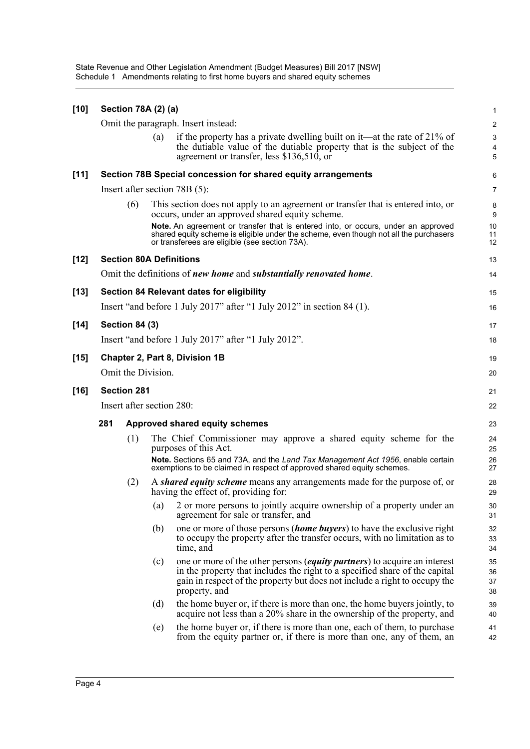State Revenue and Other Legislation Amendment (Budget Measures) Bill 2017 [NSW] Schedule 1 Amendments relating to first home buyers and shared equity schemes

| $[10]$ | Section 78A (2) (a)       |                       |     |                                                                                                                                                                                                                                                                |                                     |  |  |
|--------|---------------------------|-----------------------|-----|----------------------------------------------------------------------------------------------------------------------------------------------------------------------------------------------------------------------------------------------------------------|-------------------------------------|--|--|
|        |                           |                       |     | Omit the paragraph. Insert instead:                                                                                                                                                                                                                            | $\overline{2}$                      |  |  |
|        |                           |                       | (a) | if the property has a private dwelling built on it—at the rate of $21\%$ of<br>the dutiable value of the dutiable property that is the subject of the<br>agreement or transfer, less $$136,510$ , or                                                           | $\mathbf{3}$<br>$\overline{4}$<br>5 |  |  |
| [11]   |                           |                       |     | Section 78B Special concession for shared equity arrangements                                                                                                                                                                                                  | 6                                   |  |  |
|        |                           |                       |     | Insert after section $78B(5)$ :                                                                                                                                                                                                                                | $\overline{7}$                      |  |  |
|        |                           | (6)                   |     | This section does not apply to an agreement or transfer that is entered into, or<br>occurs, under an approved shared equity scheme.                                                                                                                            | 8<br>9                              |  |  |
|        |                           |                       |     | Note. An agreement or transfer that is entered into, or occurs, under an approved<br>shared equity scheme is eligible under the scheme, even though not all the purchasers<br>or transferees are eligible (see section 73A).                                   | 10<br>11<br>12                      |  |  |
| $[12]$ |                           |                       |     | <b>Section 80A Definitions</b>                                                                                                                                                                                                                                 | 13                                  |  |  |
|        |                           |                       |     | Omit the definitions of new home and substantially renovated home.                                                                                                                                                                                             | 14                                  |  |  |
| $[13]$ |                           |                       |     | <b>Section 84 Relevant dates for eligibility</b>                                                                                                                                                                                                               | 15                                  |  |  |
|        |                           |                       |     | Insert "and before 1 July 2017" after "1 July 2012" in section 84 (1).                                                                                                                                                                                         | 16                                  |  |  |
| $[14]$ |                           | <b>Section 84 (3)</b> |     |                                                                                                                                                                                                                                                                | 17                                  |  |  |
|        |                           |                       |     | Insert "and before 1 July 2017" after "1 July 2012".                                                                                                                                                                                                           | 18                                  |  |  |
| $[15]$ |                           |                       |     | Chapter 2, Part 8, Division 1B                                                                                                                                                                                                                                 | 19                                  |  |  |
|        | Omit the Division.        |                       |     |                                                                                                                                                                                                                                                                |                                     |  |  |
| $[16]$ | <b>Section 281</b>        |                       |     |                                                                                                                                                                                                                                                                |                                     |  |  |
|        | Insert after section 280: |                       |     |                                                                                                                                                                                                                                                                |                                     |  |  |
|        | 281                       |                       |     | Approved shared equity schemes                                                                                                                                                                                                                                 | 23                                  |  |  |
|        |                           | (1)                   |     | The Chief Commissioner may approve a shared equity scheme for the<br>purposes of this Act.                                                                                                                                                                     | 24<br>25                            |  |  |
|        |                           |                       |     | Note. Sections 65 and 73A, and the Land Tax Management Act 1956, enable certain<br>exemptions to be claimed in respect of approved shared equity schemes.                                                                                                      | 26<br>27                            |  |  |
|        |                           | (2)                   |     | A shared equity scheme means any arrangements made for the purpose of, or<br>having the effect of, providing for:                                                                                                                                              | 28<br>29                            |  |  |
|        |                           |                       | (a) | 2 or more persons to jointly acquire ownership of a property under an<br>agreement for sale or transfer, and                                                                                                                                                   | 30<br>31                            |  |  |
|        |                           |                       | (b) | one or more of those persons (home buyers) to have the exclusive right<br>to occupy the property after the transfer occurs, with no limitation as to<br>time, and                                                                                              | 32<br>33<br>34                      |  |  |
|        |                           |                       | (c) | one or more of the other persons <i>(equity partners)</i> to acquire an interest<br>in the property that includes the right to a specified share of the capital<br>gain in respect of the property but does not include a right to occupy the<br>property, and | 35<br>36<br>37<br>38                |  |  |
|        |                           |                       | (d) | the home buyer or, if there is more than one, the home buyers jointly, to<br>acquire not less than a 20% share in the ownership of the property, and                                                                                                           | 39<br>40                            |  |  |
|        |                           |                       | (e) | the home buyer or, if there is more than one, each of them, to purchase<br>from the equity partner or, if there is more than one, any of them, an                                                                                                              | 41<br>42                            |  |  |
|        |                           |                       |     |                                                                                                                                                                                                                                                                |                                     |  |  |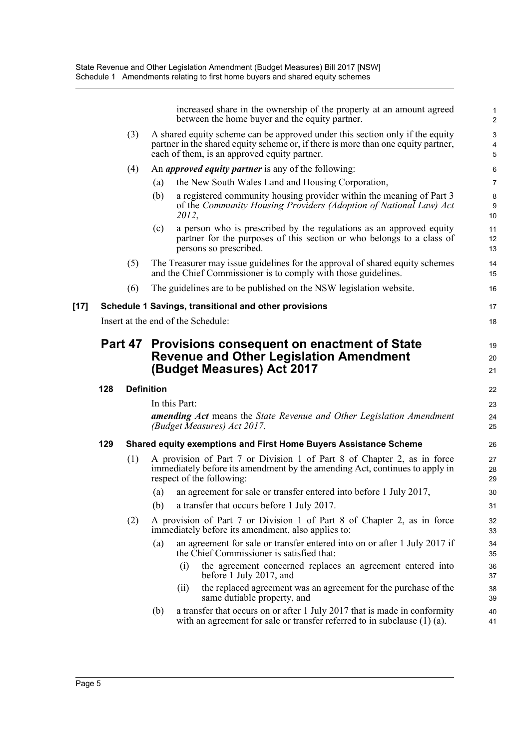|        |     |                   |     | increased share in the ownership of the property at an amount agreed<br>between the home buyer and the equity partner.                                                                                            | $\mathbf{1}$<br>$\overline{2}$                   |
|--------|-----|-------------------|-----|-------------------------------------------------------------------------------------------------------------------------------------------------------------------------------------------------------------------|--------------------------------------------------|
|        |     | (3)               |     | A shared equity scheme can be approved under this section only if the equity<br>partner in the shared equity scheme or, if there is more than one equity partner,<br>each of them, is an approved equity partner. | $\ensuremath{\mathsf{3}}$<br>4<br>$\overline{5}$ |
|        |     | (4)               |     | An <i>approved equity partner</i> is any of the following:                                                                                                                                                        | 6                                                |
|        |     |                   | (a) | the New South Wales Land and Housing Corporation,                                                                                                                                                                 | $\overline{7}$                                   |
|        |     |                   | (b) | a registered community housing provider within the meaning of Part 3<br>of the Community Housing Providers (Adoption of National Law) Act<br>2012,                                                                | $\bf 8$<br>9<br>10                               |
|        |     |                   | (c) | a person who is prescribed by the regulations as an approved equity<br>partner for the purposes of this section or who belongs to a class of<br>persons so prescribed.                                            | 11<br>12<br>13                                   |
|        |     | (5)               |     | The Treasurer may issue guidelines for the approval of shared equity schemes<br>and the Chief Commissioner is to comply with those guidelines.                                                                    | 14<br>15                                         |
|        |     | (6)               |     | The guidelines are to be published on the NSW legislation website.                                                                                                                                                | 16                                               |
| $[17]$ |     |                   |     | Schedule 1 Savings, transitional and other provisions                                                                                                                                                             | 17                                               |
|        |     |                   |     | Insert at the end of the Schedule:                                                                                                                                                                                | 18                                               |
|        |     | Part 47           |     | Provisions consequent on enactment of State<br><b>Revenue and Other Legislation Amendment</b><br>(Budget Measures) Act 2017                                                                                       | 19<br>20<br>21                                   |
|        | 128 | <b>Definition</b> |     |                                                                                                                                                                                                                   | 22                                               |
|        |     |                   |     | In this Part:                                                                                                                                                                                                     | 23                                               |
|        |     |                   |     | <b>amending Act</b> means the State Revenue and Other Legislation Amendment<br>(Budget Measures) Act 2017.                                                                                                        | 24<br>25                                         |
|        | 129 |                   |     | Shared equity exemptions and First Home Buyers Assistance Scheme                                                                                                                                                  | 26                                               |
|        |     | (1)               |     | A provision of Part 7 or Division 1 of Part 8 of Chapter 2, as in force<br>immediately before its amendment by the amending Act, continues to apply in<br>respect of the following:                               | 27<br>28<br>29                                   |
|        |     |                   |     | (a) an agreement for sale or transfer entered into before 1 July 2017,                                                                                                                                            | 30                                               |
|        |     |                   | (b) | a transfer that occurs before 1 July 2017.                                                                                                                                                                        | 31                                               |
|        |     | (2)               |     | A provision of Part 7 or Division 1 of Part 8 of Chapter 2, as in force<br>immediately before its amendment, also applies to:                                                                                     | 32<br>33                                         |
|        |     |                   | (a) | an agreement for sale or transfer entered into on or after 1 July 2017 if<br>the Chief Commissioner is satisfied that:                                                                                            | 34<br>35                                         |
|        |     |                   |     | (i)<br>the agreement concerned replaces an agreement entered into<br>before 1 July 2017, and                                                                                                                      | 36<br>37                                         |
|        |     |                   |     |                                                                                                                                                                                                                   |                                                  |
|        |     |                   |     | the replaced agreement was an agreement for the purchase of the<br>(11)<br>same dutiable property, and                                                                                                            | 38<br>39                                         |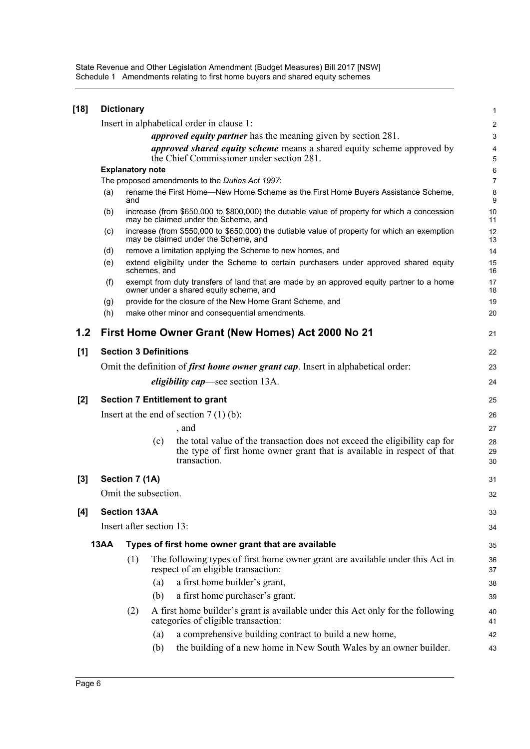State Revenue and Other Legislation Amendment (Budget Measures) Bill 2017 [NSW] Schedule 1 Amendments relating to first home buyers and shared equity schemes

| $[18]$ | <b>Dictionary</b>                                                    |                                                                                                                                     |              |                                                                                                                                                                       |                         |  |  |  |
|--------|----------------------------------------------------------------------|-------------------------------------------------------------------------------------------------------------------------------------|--------------|-----------------------------------------------------------------------------------------------------------------------------------------------------------------------|-------------------------|--|--|--|
|        |                                                                      |                                                                                                                                     |              | Insert in alphabetical order in clause 1:                                                                                                                             | $\overline{\mathbf{c}}$ |  |  |  |
|        | <i>approved equity partner</i> has the meaning given by section 281. |                                                                                                                                     |              |                                                                                                                                                                       |                         |  |  |  |
|        |                                                                      |                                                                                                                                     |              | approved shared equity scheme means a shared equity scheme approved by<br>the Chief Commissioner under section 281.                                                   | 4<br>5                  |  |  |  |
|        |                                                                      | <b>Explanatory note</b>                                                                                                             |              |                                                                                                                                                                       | 6<br>$\overline{7}$     |  |  |  |
|        |                                                                      | The proposed amendments to the Duties Act 1997:                                                                                     |              |                                                                                                                                                                       |                         |  |  |  |
|        | (a)                                                                  | and                                                                                                                                 |              | rename the First Home—New Home Scheme as the First Home Buyers Assistance Scheme,                                                                                     | 8<br>9                  |  |  |  |
|        | (b)                                                                  |                                                                                                                                     |              | increase (from \$650,000 to \$800,000) the dutiable value of property for which a concession<br>may be claimed under the Scheme, and                                  | 10<br>11                |  |  |  |
|        | (c)                                                                  |                                                                                                                                     |              | increase (from \$550,000 to \$650,000) the dutiable value of property for which an exemption<br>may be claimed under the Scheme, and                                  | 12<br>13                |  |  |  |
|        | (d)                                                                  |                                                                                                                                     |              | remove a limitation applying the Scheme to new homes, and                                                                                                             | 14                      |  |  |  |
|        | (e)                                                                  |                                                                                                                                     | schemes, and | extend eligibility under the Scheme to certain purchasers under approved shared equity                                                                                | 15<br>16                |  |  |  |
|        | (f)                                                                  | exempt from duty transfers of land that are made by an approved equity partner to a home<br>owner under a shared equity scheme, and |              |                                                                                                                                                                       |                         |  |  |  |
|        | (g)                                                                  |                                                                                                                                     |              | provide for the closure of the New Home Grant Scheme, and                                                                                                             | 19                      |  |  |  |
|        | (h)                                                                  |                                                                                                                                     |              | make other minor and consequential amendments.                                                                                                                        | 20                      |  |  |  |
| 1.2    |                                                                      |                                                                                                                                     |              | First Home Owner Grant (New Homes) Act 2000 No 21                                                                                                                     | 21                      |  |  |  |
| [1]    | <b>Section 3 Definitions</b>                                         |                                                                                                                                     |              |                                                                                                                                                                       |                         |  |  |  |
|        |                                                                      | Omit the definition of <i>first home owner grant cap</i> . Insert in alphabetical order:                                            |              |                                                                                                                                                                       |                         |  |  |  |
|        |                                                                      |                                                                                                                                     |              | <i>eligibility cap</i> —see section 13A.                                                                                                                              | 24                      |  |  |  |
| $[2]$  | <b>Section 7 Entitlement to grant</b>                                |                                                                                                                                     |              |                                                                                                                                                                       |                         |  |  |  |
|        | Insert at the end of section $7(1)(b)$ :                             |                                                                                                                                     |              |                                                                                                                                                                       |                         |  |  |  |
|        |                                                                      |                                                                                                                                     |              | , and                                                                                                                                                                 | 26<br>27                |  |  |  |
|        |                                                                      |                                                                                                                                     | (c)          | the total value of the transaction does not exceed the eligibility cap for<br>the type of first home owner grant that is available in respect of that<br>transaction. | 28<br>29<br>30          |  |  |  |
| $[3]$  |                                                                      | Section 7 (1A)                                                                                                                      |              |                                                                                                                                                                       | 31                      |  |  |  |
|        |                                                                      | Omit the subsection.                                                                                                                |              |                                                                                                                                                                       | 32                      |  |  |  |
| [4]    |                                                                      | <b>Section 13AA</b>                                                                                                                 |              |                                                                                                                                                                       | 33                      |  |  |  |
|        |                                                                      | Insert after section 13:                                                                                                            |              |                                                                                                                                                                       | 34                      |  |  |  |
|        | <b>13AA</b>                                                          |                                                                                                                                     |              | Types of first home owner grant that are available                                                                                                                    | 35                      |  |  |  |
|        |                                                                      | (1)                                                                                                                                 |              | The following types of first home owner grant are available under this Act in<br>respect of an eligible transaction:                                                  | 36<br>37                |  |  |  |
|        |                                                                      |                                                                                                                                     | (a)          | a first home builder's grant,                                                                                                                                         | 38                      |  |  |  |
|        |                                                                      |                                                                                                                                     | (b)          | a first home purchaser's grant.                                                                                                                                       | 39                      |  |  |  |
|        |                                                                      | (2)                                                                                                                                 |              | A first home builder's grant is available under this Act only for the following                                                                                       | 40                      |  |  |  |
|        |                                                                      |                                                                                                                                     |              | categories of eligible transaction:                                                                                                                                   | 41                      |  |  |  |
|        |                                                                      |                                                                                                                                     | (a)          | a comprehensive building contract to build a new home,                                                                                                                | 42                      |  |  |  |
|        |                                                                      |                                                                                                                                     | (b)          | the building of a new home in New South Wales by an owner builder.                                                                                                    | 43                      |  |  |  |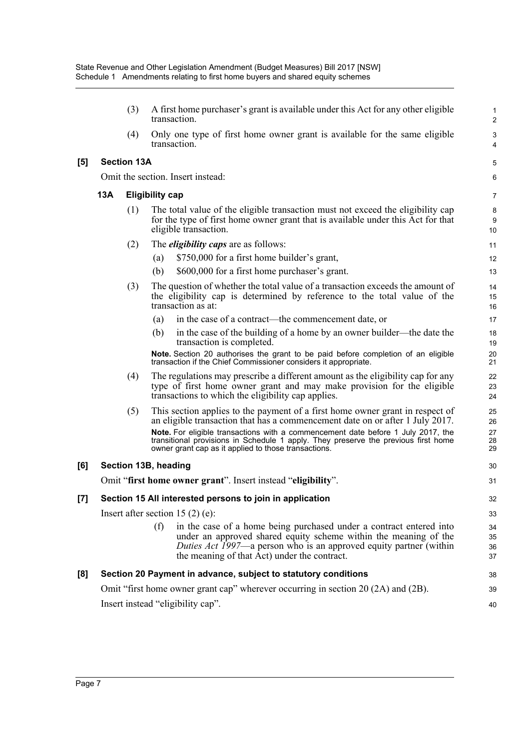|     |     | (3)                | A first home purchaser's grant is available under this Act for any other eligible<br>transaction.                                                                                                                                                                    | 1<br>2               |
|-----|-----|--------------------|----------------------------------------------------------------------------------------------------------------------------------------------------------------------------------------------------------------------------------------------------------------------|----------------------|
|     |     | (4)                | Only one type of first home owner grant is available for the same eligible<br>transaction.                                                                                                                                                                           | 3<br>4               |
| [5] |     | <b>Section 13A</b> |                                                                                                                                                                                                                                                                      | 5                    |
|     |     |                    | Omit the section. Insert instead:                                                                                                                                                                                                                                    | 6                    |
|     | 13A |                    | <b>Eligibility cap</b>                                                                                                                                                                                                                                               | 7                    |
|     |     | (1)                | The total value of the eligible transaction must not exceed the eligibility cap<br>for the type of first home owner grant that is available under this Act for that<br>eligible transaction.                                                                         | 8<br>9<br>10         |
|     |     | (2)                | The <i>eligibility caps</i> are as follows:                                                                                                                                                                                                                          | 11                   |
|     |     |                    | \$750,000 for a first home builder's grant,<br>(a)                                                                                                                                                                                                                   | 12                   |
|     |     |                    | \$600,000 for a first home purchaser's grant.<br>(b)                                                                                                                                                                                                                 | 13                   |
|     |     | (3)                | The question of whether the total value of a transaction exceeds the amount of<br>the eligibility cap is determined by reference to the total value of the<br>transaction as at:                                                                                     | 14<br>15<br>16       |
|     |     |                    | in the case of a contract—the commencement date, or<br>(a)                                                                                                                                                                                                           | 17                   |
|     |     |                    | in the case of the building of a home by an owner builder—the date the<br>(b)<br>transaction is completed.                                                                                                                                                           | 18<br>19             |
|     |     |                    | Note. Section 20 authorises the grant to be paid before completion of an eligible<br>transaction if the Chief Commissioner considers it appropriate.                                                                                                                 | 20<br>21             |
|     |     | (4)                | The regulations may prescribe a different amount as the eligibility cap for any<br>type of first home owner grant and may make provision for the eligible<br>transactions to which the eligibility cap applies.                                                      | 22<br>23<br>24       |
|     |     | (5)                | This section applies to the payment of a first home owner grant in respect of<br>an eligible transaction that has a commencement date on or after 1 July 2017.<br>Note. For eligible transactions with a commencement date before 1 July 2017, the                   | 25<br>26<br>27       |
|     |     |                    | transitional provisions in Schedule 1 apply. They preserve the previous first home<br>owner grant cap as it applied to those transactions.                                                                                                                           | 28<br>29             |
| [6] |     |                    | Section 13B, heading                                                                                                                                                                                                                                                 | 30                   |
|     |     |                    | Omit "first home owner grant". Insert instead "eligibility".                                                                                                                                                                                                         | 31                   |
| [7] |     |                    | Section 15 All interested persons to join in application                                                                                                                                                                                                             | 32                   |
|     |     |                    | Insert after section 15 $(2)$ (e):                                                                                                                                                                                                                                   | 33                   |
|     |     |                    | in the case of a home being purchased under a contract entered into<br>(f)<br>under an approved shared equity scheme within the meaning of the<br>Duties Act 1997—a person who is an approved equity partner (within<br>the meaning of that Act) under the contract. | 34<br>35<br>36<br>37 |
| [8] |     |                    | Section 20 Payment in advance, subject to statutory conditions                                                                                                                                                                                                       | 38                   |
|     |     |                    | Omit "first home owner grant cap" wherever occurring in section 20 (2A) and (2B).                                                                                                                                                                                    | 39                   |
|     |     |                    |                                                                                                                                                                                                                                                                      |                      |

40

Insert instead "eligibility cap".

**[6]** 

**[5]**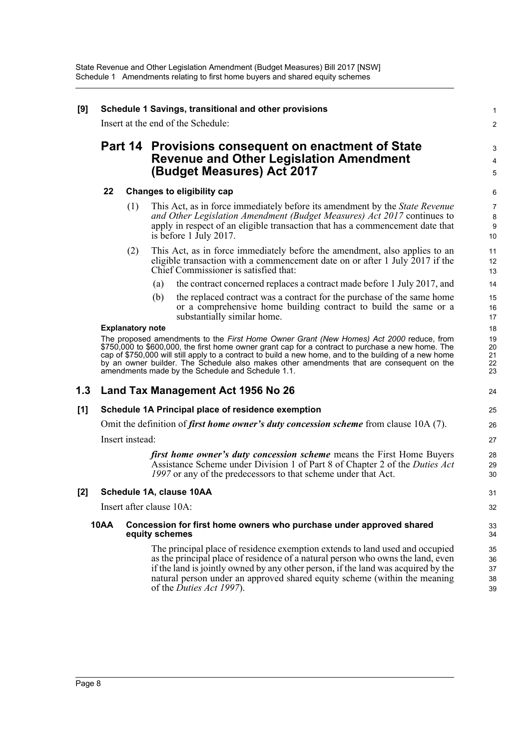| [9]   | Schedule 1 Savings, transitional and other provisions                                                                                                                                                                                                                                                                                                                                                                                                   |                          |     |                                                                                                                                                                                                                                                                                                                                                               |                            |  |  |  |  |
|-------|---------------------------------------------------------------------------------------------------------------------------------------------------------------------------------------------------------------------------------------------------------------------------------------------------------------------------------------------------------------------------------------------------------------------------------------------------------|--------------------------|-----|---------------------------------------------------------------------------------------------------------------------------------------------------------------------------------------------------------------------------------------------------------------------------------------------------------------------------------------------------------------|----------------------------|--|--|--|--|
|       |                                                                                                                                                                                                                                                                                                                                                                                                                                                         |                          |     | Insert at the end of the Schedule:                                                                                                                                                                                                                                                                                                                            | 2                          |  |  |  |  |
|       |                                                                                                                                                                                                                                                                                                                                                                                                                                                         |                          |     | Part 14 Provisions consequent on enactment of State<br><b>Revenue and Other Legislation Amendment</b><br>(Budget Measures) Act 2017                                                                                                                                                                                                                           | 3<br>4<br>5                |  |  |  |  |
|       | 22                                                                                                                                                                                                                                                                                                                                                                                                                                                      |                          |     | <b>Changes to eligibility cap</b>                                                                                                                                                                                                                                                                                                                             | 6                          |  |  |  |  |
|       |                                                                                                                                                                                                                                                                                                                                                                                                                                                         | (1)                      |     | This Act, as in force immediately before its amendment by the <i>State Revenue</i><br>and Other Legislation Amendment (Budget Measures) Act 2017 continues to<br>apply in respect of an eligible transaction that has a commencement date that<br>is before 1 July 2017.                                                                                      | 7<br>$\bf 8$<br>9<br>10    |  |  |  |  |
|       |                                                                                                                                                                                                                                                                                                                                                                                                                                                         | (2)                      |     | This Act, as in force immediately before the amendment, also applies to an<br>eligible transaction with a commencement date on or after 1 July 2017 if the<br>Chief Commissioner is satisfied that:                                                                                                                                                           | 11<br>12<br>13             |  |  |  |  |
|       |                                                                                                                                                                                                                                                                                                                                                                                                                                                         |                          | (a) | the contract concerned replaces a contract made before 1 July 2017, and                                                                                                                                                                                                                                                                                       | 14                         |  |  |  |  |
|       |                                                                                                                                                                                                                                                                                                                                                                                                                                                         |                          | (b) | the replaced contract was a contract for the purchase of the same home<br>or a comprehensive home building contract to build the same or a<br>substantially similar home.                                                                                                                                                                                     | 15<br>16<br>17             |  |  |  |  |
|       |                                                                                                                                                                                                                                                                                                                                                                                                                                                         | <b>Explanatory note</b>  |     |                                                                                                                                                                                                                                                                                                                                                               |                            |  |  |  |  |
|       | The proposed amendments to the First Home Owner Grant (New Homes) Act 2000 reduce, from<br>\$750,000 to \$600,000, the first home owner grant cap for a contract to purchase a new home. The<br>cap of \$750,000 will still apply to a contract to build a new home, and to the building of a new home<br>by an owner builder. The Schedule also makes other amendments that are consequent on the<br>amendments made by the Schedule and Schedule 1.1. |                          |     |                                                                                                                                                                                                                                                                                                                                                               |                            |  |  |  |  |
| 1.3   |                                                                                                                                                                                                                                                                                                                                                                                                                                                         |                          |     | Land Tax Management Act 1956 No 26                                                                                                                                                                                                                                                                                                                            | 24                         |  |  |  |  |
| $[1]$ |                                                                                                                                                                                                                                                                                                                                                                                                                                                         |                          |     | Schedule 1A Principal place of residence exemption                                                                                                                                                                                                                                                                                                            | 25                         |  |  |  |  |
|       |                                                                                                                                                                                                                                                                                                                                                                                                                                                         |                          |     | Omit the definition of <i>first home owner's duty concession scheme</i> from clause $10A(7)$ .                                                                                                                                                                                                                                                                | 26                         |  |  |  |  |
|       |                                                                                                                                                                                                                                                                                                                                                                                                                                                         | Insert instead:          |     |                                                                                                                                                                                                                                                                                                                                                               | 27                         |  |  |  |  |
|       |                                                                                                                                                                                                                                                                                                                                                                                                                                                         |                          |     | <i>first home owner's duty concession scheme</i> means the First Home Buyers<br>Assistance Scheme under Division 1 of Part 8 of Chapter 2 of the Duties Act<br>1997 or any of the predecessors to that scheme under that Act.                                                                                                                                 | 28<br>29<br>30             |  |  |  |  |
| [2]   |                                                                                                                                                                                                                                                                                                                                                                                                                                                         |                          |     | Schedule 1A, clause 10AA                                                                                                                                                                                                                                                                                                                                      | 31                         |  |  |  |  |
|       |                                                                                                                                                                                                                                                                                                                                                                                                                                                         | Insert after clause 10A: |     |                                                                                                                                                                                                                                                                                                                                                               | 32                         |  |  |  |  |
|       | <b>10AA</b>                                                                                                                                                                                                                                                                                                                                                                                                                                             |                          |     | Concession for first home owners who purchase under approved shared<br>equity schemes                                                                                                                                                                                                                                                                         | 33<br>34                   |  |  |  |  |
|       |                                                                                                                                                                                                                                                                                                                                                                                                                                                         |                          |     | The principal place of residence exemption extends to land used and occupied<br>as the principal place of residence of a natural person who owns the land, even<br>if the land is jointly owned by any other person, if the land was acquired by the<br>natural person under an approved shared equity scheme (within the meaning<br>of the Duties Act 1997). | 35<br>36<br>37<br>38<br>39 |  |  |  |  |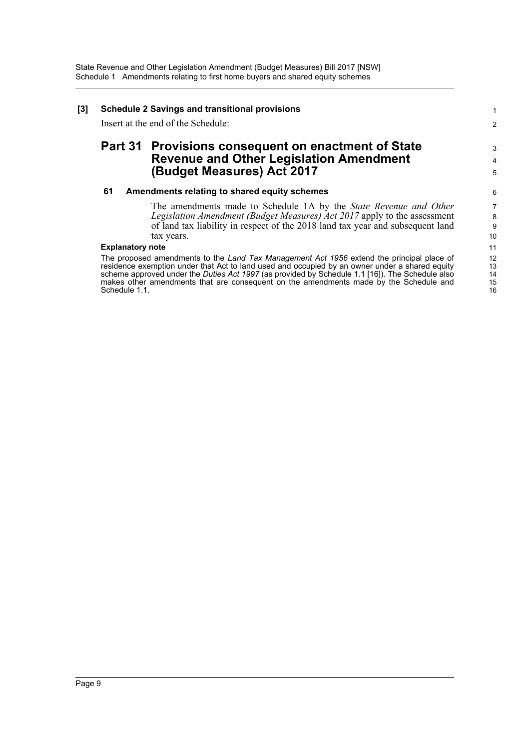| [3] | <b>Schedule 2 Savings and transitional provisions</b><br>Insert at the end of the Schedule: |                                                                                                                                                                                                                                                                                                                                                                                         |                                   |  |  |
|-----|---------------------------------------------------------------------------------------------|-----------------------------------------------------------------------------------------------------------------------------------------------------------------------------------------------------------------------------------------------------------------------------------------------------------------------------------------------------------------------------------------|-----------------------------------|--|--|
|     |                                                                                             | Part 31 Provisions consequent on enactment of State<br><b>Revenue and Other Legislation Amendment</b><br>(Budget Measures) Act 2017                                                                                                                                                                                                                                                     | 3<br>$\overline{\mathbf{4}}$<br>5 |  |  |
|     | 61                                                                                          | Amendments relating to shared equity schemes<br>The amendments made to Schedule 1A by the State Revenue and Other<br>Legislation Amendment (Budget Measures) Act 2017 apply to the assessment<br>of land tax liability in respect of the 2018 land tax year and subsequent land<br>tax years.                                                                                           | 6<br>7<br>8<br>9<br>10            |  |  |
|     | <b>Explanatory note</b><br>Schedule 1.1.                                                    | The proposed amendments to the Land Tax Management Act 1956 extend the principal place of<br>residence exemption under that Act to land used and occupied by an owner under a shared equity<br>scheme approved under the Duties Act 1997 (as provided by Schedule 1.1 [16]). The Schedule also<br>makes other amendments that are consequent on the amendments made by the Schedule and | 11<br>12<br>13<br>14<br>15<br>16  |  |  |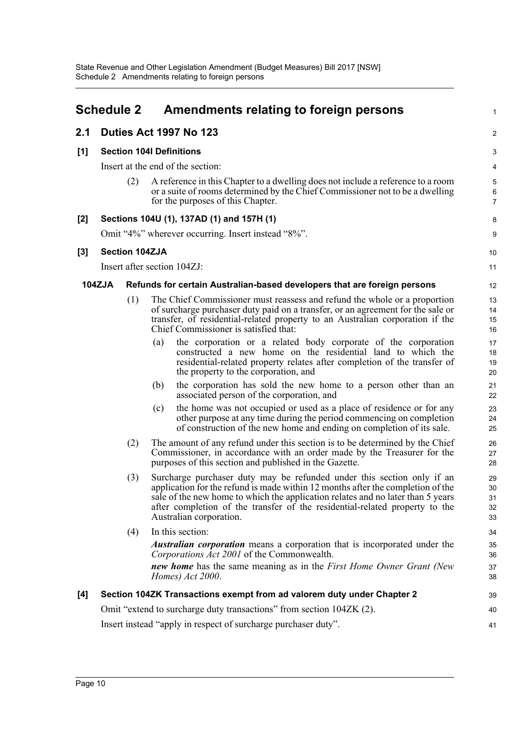<span id="page-12-0"></span>

|       | <b>Schedule 2</b>                                                    |                       |     | Amendments relating to foreign persons                                                                                                                                                                                                                                                                                                                 | 1                          |  |  |
|-------|----------------------------------------------------------------------|-----------------------|-----|--------------------------------------------------------------------------------------------------------------------------------------------------------------------------------------------------------------------------------------------------------------------------------------------------------------------------------------------------------|----------------------------|--|--|
| 2.1   |                                                                      |                       |     | Duties Act 1997 No 123                                                                                                                                                                                                                                                                                                                                 | 2                          |  |  |
| [1]   |                                                                      |                       |     | <b>Section 104I Definitions</b>                                                                                                                                                                                                                                                                                                                        | 3                          |  |  |
|       |                                                                      |                       |     | Insert at the end of the section:                                                                                                                                                                                                                                                                                                                      | 4                          |  |  |
|       |                                                                      | (2)                   |     | A reference in this Chapter to a dwelling does not include a reference to a room<br>or a suite of rooms determined by the Chief Commissioner not to be a dwelling<br>for the purposes of this Chapter.                                                                                                                                                 | 5<br>6<br>$\overline{7}$   |  |  |
| [2]   |                                                                      |                       |     | Sections 104U (1), 137AD (1) and 157H (1)                                                                                                                                                                                                                                                                                                              | 8                          |  |  |
|       | Omit "4%" wherever occurring. Insert instead "8%".                   |                       |     |                                                                                                                                                                                                                                                                                                                                                        | 9                          |  |  |
| $[3]$ |                                                                      | <b>Section 104ZJA</b> |     |                                                                                                                                                                                                                                                                                                                                                        | 10                         |  |  |
|       |                                                                      |                       |     | Insert after section 104ZJ:                                                                                                                                                                                                                                                                                                                            | 11                         |  |  |
|       | <b>104ZJA</b>                                                        |                       |     | Refunds for certain Australian-based developers that are foreign persons                                                                                                                                                                                                                                                                               | 12                         |  |  |
|       |                                                                      | (1)                   |     | The Chief Commissioner must reassess and refund the whole or a proportion<br>of surcharge purchaser duty paid on a transfer, or an agreement for the sale or<br>transfer, of residential-related property to an Australian corporation if the<br>Chief Commissioner is satisfied that:                                                                 | 13<br>14<br>15<br>16       |  |  |
|       |                                                                      |                       | (a) | the corporation or a related body corporate of the corporation<br>constructed a new home on the residential land to which the<br>residential-related property relates after completion of the transfer of<br>the property to the corporation, and                                                                                                      | 17<br>18<br>19<br>20       |  |  |
|       |                                                                      |                       | (b) | the corporation has sold the new home to a person other than an<br>associated person of the corporation, and                                                                                                                                                                                                                                           | 21<br>22                   |  |  |
|       |                                                                      |                       | (c) | the home was not occupied or used as a place of residence or for any<br>other purpose at any time during the period commencing on completion<br>of construction of the new home and ending on completion of its sale.                                                                                                                                  | 23<br>24<br>25             |  |  |
|       |                                                                      | (2)                   |     | The amount of any refund under this section is to be determined by the Chief<br>Commissioner, in accordance with an order made by the Treasurer for the<br>purposes of this section and published in the Gazette.                                                                                                                                      | 26<br>27<br>28             |  |  |
|       |                                                                      | (3)                   |     | Surcharge purchaser duty may be refunded under this section only if an<br>application for the refund is made within 12 months after the completion of the<br>sale of the new home to which the application relates and no later than 5 years<br>after completion of the transfer of the residential-related property to the<br>Australian corporation. | 29<br>30<br>31<br>32<br>33 |  |  |
|       |                                                                      | (4)                   |     | In this section:<br><i>Australian corporation</i> means a corporation that is incorporated under the<br>Corporations Act 2001 of the Commonwealth.<br>new home has the same meaning as in the First Home Owner Grant (New                                                                                                                              | 34<br>35<br>36             |  |  |
|       |                                                                      |                       |     | Homes) Act 2000.                                                                                                                                                                                                                                                                                                                                       | 37<br>38                   |  |  |
| [4]   |                                                                      |                       |     | Section 104ZK Transactions exempt from ad valorem duty under Chapter 2                                                                                                                                                                                                                                                                                 | 39                         |  |  |
|       |                                                                      |                       |     | Omit "extend to surcharge duty transactions" from section 104ZK (2).                                                                                                                                                                                                                                                                                   | 40                         |  |  |
|       | Insert instead "apply in respect of surcharge purchaser duty".<br>41 |                       |     |                                                                                                                                                                                                                                                                                                                                                        |                            |  |  |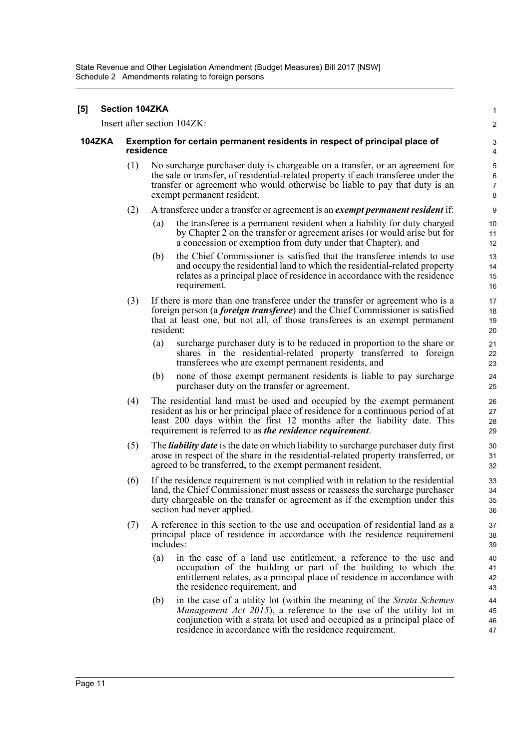#### **[5] Section 104ZKA** Insert after section 104ZK: **104ZKA Exemption for certain permanent residents in respect of principal place of residence** (1) No surcharge purchaser duty is chargeable on a transfer, or an agreement for the sale or transfer, of residential-related property if each transferee under the transfer or agreement who would otherwise be liable to pay that duty is an exempt permanent resident. (2) A transferee under a transfer or agreement is an *exempt permanent resident* if: (a) the transferee is a permanent resident when a liability for duty charged by Chapter 2 on the transfer or agreement arises (or would arise but for a concession or exemption from duty under that Chapter), and (b) the Chief Commissioner is satisfied that the transferee intends to use and occupy the residential land to which the residential-related property relates as a principal place of residence in accordance with the residence requirement. (3) If there is more than one transferee under the transfer or agreement who is a foreign person (a *foreign transferee*) and the Chief Commissioner is satisfied that at least one, but not all, of those transferees is an exempt permanent resident: (a) surcharge purchaser duty is to be reduced in proportion to the share or shares in the residential-related property transferred to foreign transferees who are exempt permanent residents, and (b) none of those exempt permanent residents is liable to pay surcharge purchaser duty on the transfer or agreement. (4) The residential land must be used and occupied by the exempt permanent resident as his or her principal place of residence for a continuous period of at least 200 days within the first 12 months after the liability date. This requirement is referred to as *the residence requirement*. (5) The *liability date* is the date on which liability to surcharge purchaser duty first arose in respect of the share in the residential-related property transferred, or agreed to be transferred, to the exempt permanent resident. (6) If the residence requirement is not complied with in relation to the residential land, the Chief Commissioner must assess or reassess the surcharge purchaser duty chargeable on the transfer or agreement as if the exemption under this section had never applied. (7) A reference in this section to the use and occupation of residential land as a principal place of residence in accordance with the residence requirement includes: (a) in the case of a land use entitlement, a reference to the use and occupation of the building or part of the building to which the entitlement relates, as a principal place of residence in accordance with the residence requirement, and (b) in the case of a utility lot (within the meaning of the *Strata Schemes Management Act 2015*), a reference to the use of the utility lot in conjunction with a strata lot used and occupied as a principal place of residence in accordance with the residence requirement. 1  $\mathfrak{p}$ 3 4 5 6 7 8 9 10 11 12 13 14 15 16 17 18 19 20 21 22 23 24 25 26 27 28 29 30 31  $32$ 33 34 35 36 37 38 39 40 41 42 43 44 45 46 47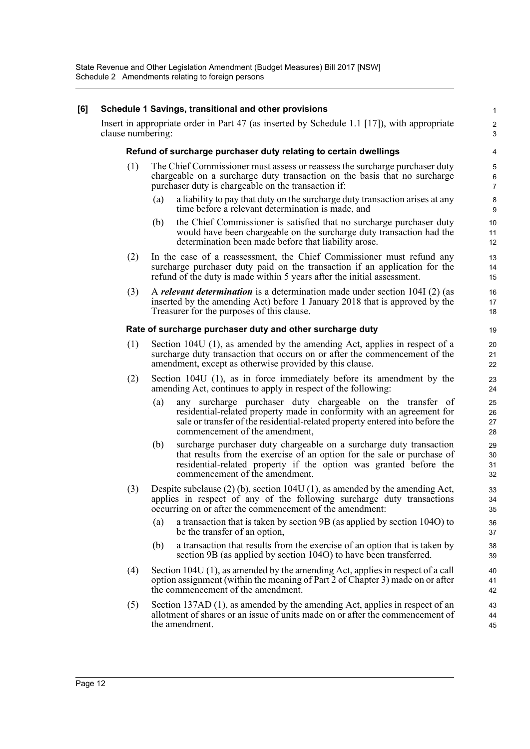| [6] |     | Schedule 1 Savings, transitional and other provisions                                                                                                                                                                                                        | $\mathbf{1}$                   |  |  |
|-----|-----|--------------------------------------------------------------------------------------------------------------------------------------------------------------------------------------------------------------------------------------------------------------|--------------------------------|--|--|
|     |     | Insert in appropriate order in Part 47 (as inserted by Schedule 1.1 [17]), with appropriate<br>clause numbering:                                                                                                                                             |                                |  |  |
|     |     | Refund of surcharge purchaser duty relating to certain dwellings                                                                                                                                                                                             | 4                              |  |  |
|     | (1) | The Chief Commissioner must assess or reassess the surcharge purchaser duty<br>chargeable on a surcharge duty transaction on the basis that no surcharge<br>purchaser duty is chargeable on the transaction if:                                              | 5<br>$\,6\,$<br>$\overline{7}$ |  |  |
|     |     | a liability to pay that duty on the surcharge duty transaction arises at any<br>(a)<br>time before a relevant determination is made, and                                                                                                                     | 8<br>$9\,$                     |  |  |
|     |     | the Chief Commissioner is satisfied that no surcharge purchaser duty<br>(b)<br>would have been chargeable on the surcharge duty transaction had the<br>determination been made before that liability arose.                                                  | 10<br>11<br>12                 |  |  |
|     | (2) | In the case of a reassessment, the Chief Commissioner must refund any<br>surcharge purchaser duty paid on the transaction if an application for the<br>refund of the duty is made within 5 years after the initial assessment.                               | 13<br>14<br>15                 |  |  |
|     | (3) | A <i>relevant determination</i> is a determination made under section 104I (2) (as<br>inserted by the amending Act) before 1 January 2018 that is approved by the<br>Treasurer for the purposes of this clause.                                              | 16<br>17<br>18                 |  |  |
|     |     | Rate of surcharge purchaser duty and other surcharge duty                                                                                                                                                                                                    | 19                             |  |  |
|     | (1) | Section 104U (1), as amended by the amending Act, applies in respect of a<br>surcharge duty transaction that occurs on or after the commencement of the<br>amendment, except as otherwise provided by this clause.                                           | 20<br>21<br>22                 |  |  |
|     | (2) | Section 104U (1), as in force immediately before its amendment by the<br>amending Act, continues to apply in respect of the following:                                                                                                                       | 23<br>24                       |  |  |
|     |     | any surcharge purchaser duty chargeable on the transfer of<br>(a)<br>residential-related property made in conformity with an agreement for<br>sale or transfer of the residential-related property entered into before the<br>commencement of the amendment, | 25<br>26<br>27<br>28           |  |  |
|     |     | surcharge purchaser duty chargeable on a surcharge duty transaction<br>(b)<br>that results from the exercise of an option for the sale or purchase of<br>residential-related property if the option was granted before the<br>commencement of the amendment. | 29<br>30<br>31<br>32           |  |  |
|     | (3) | Despite subclause $(2)$ (b), section 104U $(1)$ , as amended by the amending Act,<br>applies in respect of any of the following surcharge duty transactions<br>occurring on or after the commencement of the amendment:                                      | 33<br>34<br>35                 |  |  |
|     |     | a transaction that is taken by section 9B (as applied by section 104O) to<br>(a)<br>be the transfer of an option,                                                                                                                                            | 36<br>37                       |  |  |
|     |     | a transaction that results from the exercise of an option that is taken by<br>(b)<br>section 9B (as applied by section 104O) to have been transferred.                                                                                                       | 38<br>39                       |  |  |
|     | (4) | Section 104U (1), as amended by the amending Act, applies in respect of a call<br>option assignment (within the meaning of Part 2 of Chapter 3) made on or after<br>the commencement of the amendment.                                                       | 40<br>41<br>42                 |  |  |
|     | (5) | Section 137AD (1), as amended by the amending Act, applies in respect of an<br>allotment of shares or an issue of units made on or after the commencement of<br>the amendment.                                                                               | 43<br>44<br>45                 |  |  |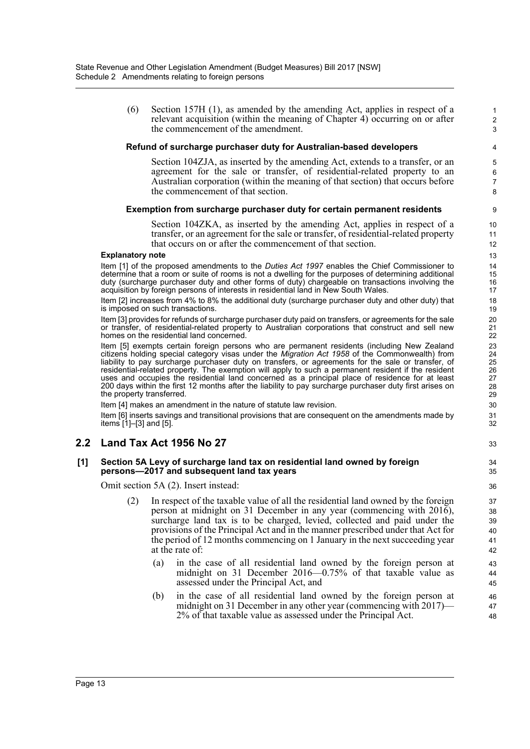(6) Section 157H (1), as amended by the amending Act, applies in respect of a relevant acquisition (within the meaning of Chapter 4) occurring on or after the commencement of the amendment.

### **Refund of surcharge purchaser duty for Australian-based developers**

Section 104ZJA, as inserted by the amending Act, extends to a transfer, or an agreement for the sale or transfer, of residential-related property to an Australian corporation (within the meaning of that section) that occurs before the commencement of that section.

### **Exemption from surcharge purchaser duty for certain permanent residents**

Section 104ZKA, as inserted by the amending Act, applies in respect of a transfer, or an agreement for the sale or transfer, of residential-related property that occurs on or after the commencement of that section.

#### **Explanatory note**

Item [1] of the proposed amendments to the *Duties Act 1997* enables the Chief Commissioner to determine that a room or suite of rooms is not a dwelling for the purposes of determining additional duty (surcharge purchaser duty and other forms of duty) chargeable on transactions involving the acquisition by foreign persons of interests in residential land in New South Wales.

Item [2] increases from 4% to 8% the additional duty (surcharge purchaser duty and other duty) that is imposed on such transactions.

Item [3] provides for refunds of surcharge purchaser duty paid on transfers, or agreements for the sale or transfer, of residential-related property to Australian corporations that construct and sell new homes on the residential land concerned.

Item [5] exempts certain foreign persons who are permanent residents (including New Zealand citizens holding special category visas under the *Migration Act 1958* of the Commonwealth) from liability to pay surcharge purchaser duty on transfers, or agreements for the sale or transfer, of residential-related property. The exemption will apply to such a permanent resident if the resident uses and occupies the residential land concerned as a principal place of residence for at least 200 days within the first 12 months after the liability to pay surcharge purchaser duty first arises on the property transferred.

Item [4] makes an amendment in the nature of statute law revision.

Item [6] inserts savings and transitional provisions that are consequent on the amendments made by items [1]–[3] and [5].

## **2.2 Land Tax Act 1956 No 27**

### **[1] Section 5A Levy of surcharge land tax on residential land owned by foreign persons—2017 and subsequent land tax years**

Omit section 5A (2). Insert instead:

- (2) In respect of the taxable value of all the residential land owned by the foreign person at midnight on 31 December in any year (commencing with 2016), surcharge land tax is to be charged, levied, collected and paid under the provisions of the Principal Act and in the manner prescribed under that Act for the period of 12 months commencing on 1 January in the next succeeding year at the rate of:
	- (a) in the case of all residential land owned by the foreign person at midnight on 31 December 2016—0.75% of that taxable value as assessed under the Principal Act, and
	- (b) in the case of all residential land owned by the foreign person at midnight on 31 December in any other year (commencing with 2017)— 2% of that taxable value as assessed under the Principal Act.
- 3 4 5 6 7 8 9 10 11 12 13 14 15 16 17 18 19 20 21 22 23 24 25 26 27 28 29 30 31 32 33 34 35 36 37 38 39 40 41 42 43 44 45 46 47 48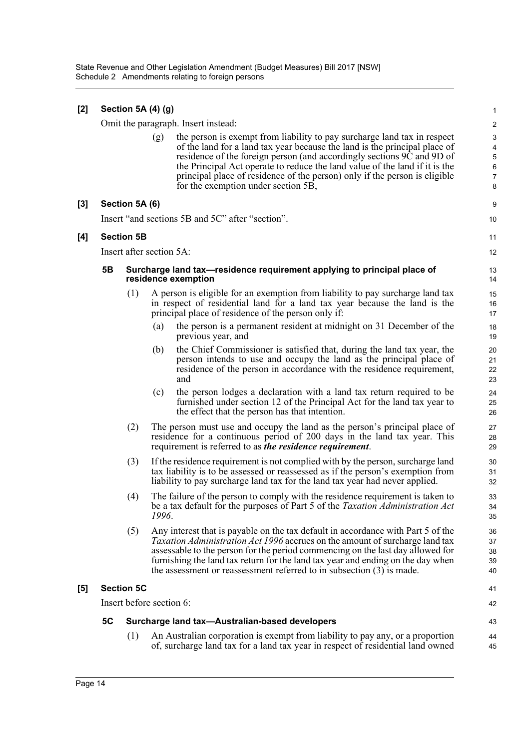| $[2]$ | Section 5A (4) (g) |                          |                          |                                                                                                                                                                                                                                                                                                                                                                                                                                      |                                                                                  |  |  |
|-------|--------------------|--------------------------|--------------------------|--------------------------------------------------------------------------------------------------------------------------------------------------------------------------------------------------------------------------------------------------------------------------------------------------------------------------------------------------------------------------------------------------------------------------------------|----------------------------------------------------------------------------------|--|--|
|       |                    |                          |                          | Omit the paragraph. Insert instead:                                                                                                                                                                                                                                                                                                                                                                                                  | $\boldsymbol{2}$                                                                 |  |  |
|       |                    |                          | (g)                      | the person is exempt from liability to pay surcharge land tax in respect<br>of the land for a land tax year because the land is the principal place of<br>residence of the foreign person (and accordingly sections 9C and 9D of<br>the Principal Act operate to reduce the land value of the land if it is the<br>principal place of residence of the person) only if the person is eligible<br>for the exemption under section 5B, | $\mathsf 3$<br>$\overline{\mathbf{4}}$<br>$\sqrt{5}$<br>6<br>$\overline{7}$<br>8 |  |  |
| $[3]$ |                    | Section 5A (6)           |                          |                                                                                                                                                                                                                                                                                                                                                                                                                                      | 9                                                                                |  |  |
|       |                    |                          |                          | Insert "and sections 5B and 5C" after "section".                                                                                                                                                                                                                                                                                                                                                                                     | 10                                                                               |  |  |
| [4]   |                    | <b>Section 5B</b>        |                          |                                                                                                                                                                                                                                                                                                                                                                                                                                      | 11                                                                               |  |  |
|       |                    |                          | Insert after section 5A: |                                                                                                                                                                                                                                                                                                                                                                                                                                      | 12                                                                               |  |  |
|       | 5Β                 |                          |                          | Surcharge land tax—residence requirement applying to principal place of<br>residence exemption                                                                                                                                                                                                                                                                                                                                       | 13<br>14                                                                         |  |  |
|       |                    | (1)                      |                          | A person is eligible for an exemption from liability to pay surcharge land tax<br>in respect of residential land for a land tax year because the land is the<br>principal place of residence of the person only if:                                                                                                                                                                                                                  | 15<br>16<br>17                                                                   |  |  |
|       |                    |                          | (a)                      | the person is a permanent resident at midnight on 31 December of the<br>previous year, and                                                                                                                                                                                                                                                                                                                                           | 18<br>19                                                                         |  |  |
|       |                    |                          | (b)                      | the Chief Commissioner is satisfied that, during the land tax year, the<br>person intends to use and occupy the land as the principal place of<br>residence of the person in accordance with the residence requirement,<br>and                                                                                                                                                                                                       | 20<br>21<br>22<br>23                                                             |  |  |
|       |                    |                          | (c)                      | the person lodges a declaration with a land tax return required to be<br>furnished under section 12 of the Principal Act for the land tax year to<br>the effect that the person has that intention.                                                                                                                                                                                                                                  | 24<br>25<br>26                                                                   |  |  |
|       |                    | (2)                      |                          | The person must use and occupy the land as the person's principal place of<br>residence for a continuous period of 200 days in the land tax year. This<br>requirement is referred to as <i>the residence requirement</i> .                                                                                                                                                                                                           | 27<br>28<br>29                                                                   |  |  |
|       |                    | (3)                      |                          | If the residence requirement is not complied with by the person, surcharge land<br>tax liability is to be assessed or reassessed as if the person's exemption from<br>liability to pay surcharge land tax for the land tax year had never applied.                                                                                                                                                                                   | 30<br>31<br>32                                                                   |  |  |
|       |                    | (4)                      | 1996.                    | The failure of the person to comply with the residence requirement is taken to<br>be a tax default for the purposes of Part 5 of the Taxation Administration Act                                                                                                                                                                                                                                                                     | 33<br>34<br>35                                                                   |  |  |
|       |                    | (5)                      |                          | Any interest that is payable on the tax default in accordance with Part 5 of the<br>Taxation Administration Act 1996 accrues on the amount of surcharge land tax<br>assessable to the person for the period commencing on the last day allowed for<br>furnishing the land tax return for the land tax year and ending on the day when<br>the assessment or reassessment referred to in subsection (3) is made.                       | 36<br>37<br>38<br>39<br>40                                                       |  |  |
| [5]   |                    | <b>Section 5C</b>        |                          |                                                                                                                                                                                                                                                                                                                                                                                                                                      | 41                                                                               |  |  |
|       |                    | Insert before section 6: |                          |                                                                                                                                                                                                                                                                                                                                                                                                                                      |                                                                                  |  |  |
|       | 5C                 |                          |                          | Surcharge land tax-Australian-based developers                                                                                                                                                                                                                                                                                                                                                                                       | 43                                                                               |  |  |
|       |                    | (1)                      |                          | An Australian corporation is exempt from liability to pay any, or a proportion<br>of, surcharge land tax for a land tax year in respect of residential land owned                                                                                                                                                                                                                                                                    | 44<br>45                                                                         |  |  |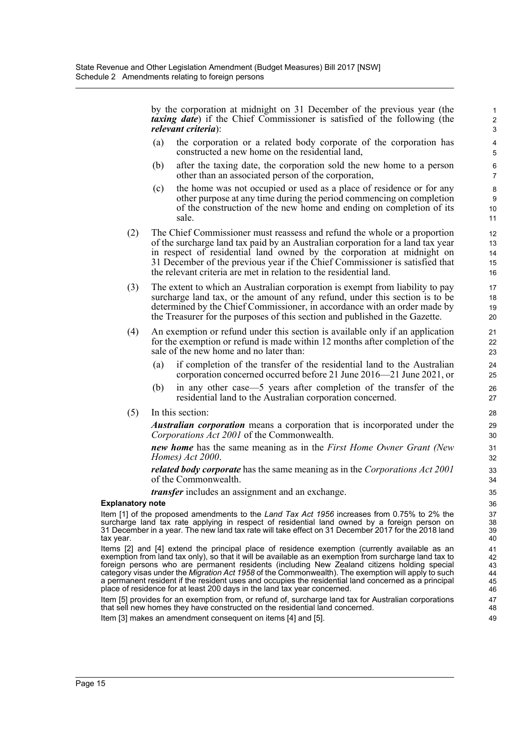by the corporation at midnight on 31 December of the previous year (the *taxing date*) if the Chief Commissioner is satisfied of the following (the *relevant criteria*):

- (a) the corporation or a related body corporate of the corporation has constructed a new home on the residential land,
- (b) after the taxing date, the corporation sold the new home to a person other than an associated person of the corporation,
- (c) the home was not occupied or used as a place of residence or for any other purpose at any time during the period commencing on completion of the construction of the new home and ending on completion of its sale.
- (2) The Chief Commissioner must reassess and refund the whole or a proportion of the surcharge land tax paid by an Australian corporation for a land tax year in respect of residential land owned by the corporation at midnight on 31 December of the previous year if the Chief Commissioner is satisfied that the relevant criteria are met in relation to the residential land.
- (3) The extent to which an Australian corporation is exempt from liability to pay surcharge land tax, or the amount of any refund, under this section is to be determined by the Chief Commissioner, in accordance with an order made by the Treasurer for the purposes of this section and published in the Gazette.
- (4) An exemption or refund under this section is available only if an application for the exemption or refund is made within 12 months after completion of the sale of the new home and no later than:
	- (a) if completion of the transfer of the residential land to the Australian corporation concerned occurred before 21 June 2016—21 June 2021, or
	- (b) in any other case—5 years after completion of the transfer of the residential land to the Australian corporation concerned.
- (5) In this section:

*Australian corporation* means a corporation that is incorporated under the *Corporations Act 2001* of the Commonwealth.

*new home* has the same meaning as in the *First Home Owner Grant (New Homes) Act 2000*.

*related body corporate* has the same meaning as in the *Corporations Act 2001* of the Commonwealth.

*transfer* includes an assignment and an exchange.

### **Explanatory note**

Item [1] of the proposed amendments to the *Land Tax Act 1956* increases from 0.75% to 2% the surcharge land tax rate applying in respect of residential land owned by a foreign person on 31 December in a year. The new land tax rate will take effect on 31 December 2017 for the 2018 land tax year.

Items [2] and [4] extend the principal place of residence exemption (currently available as an exemption from land tax only), so that it will be available as an exemption from surcharge land tax to foreign persons who are permanent residents (including New Zealand citizens holding special category visas under the *Migration Act 1958* of the Commonwealth). The exemption will apply to such a permanent resident if the resident uses and occupies the residential land concerned as a principal place of residence for at least 200 days in the land tax year concerned.

Item [5] provides for an exemption from, or refund of, surcharge land tax for Australian corporations that sell new homes they have constructed on the residential land concerned.

Item [3] makes an amendment consequent on items [4] and [5].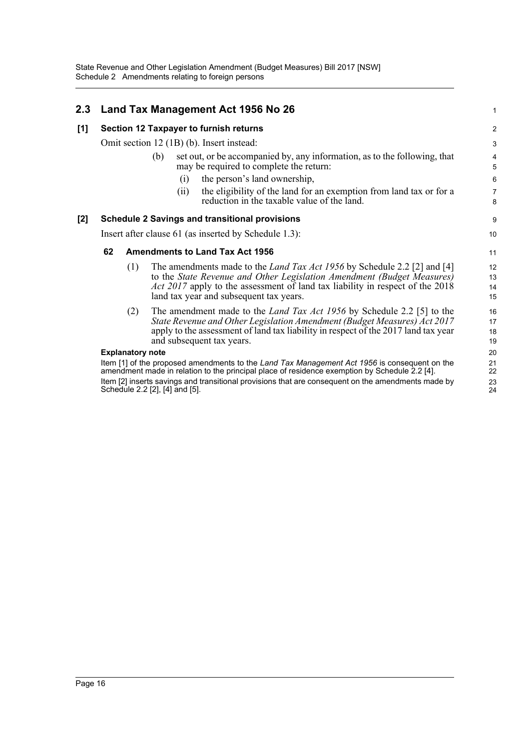| 2.3   |                                                                                                                                                                                               | Land Tax Management Act 1956 No 26                                                                                                                                                                                                                                                           | $\mathbf{1}$                 |  |  |
|-------|-----------------------------------------------------------------------------------------------------------------------------------------------------------------------------------------------|----------------------------------------------------------------------------------------------------------------------------------------------------------------------------------------------------------------------------------------------------------------------------------------------|------------------------------|--|--|
| [1]   | <b>Section 12 Taxpayer to furnish returns</b>                                                                                                                                                 |                                                                                                                                                                                                                                                                                              |                              |  |  |
|       | Omit section 12 (1B) (b). Insert instead:                                                                                                                                                     |                                                                                                                                                                                                                                                                                              |                              |  |  |
|       |                                                                                                                                                                                               | set out, or be accompanied by, any information, as to the following, that<br>(b)<br>may be required to complete the return:                                                                                                                                                                  | $\overline{\mathbf{4}}$<br>5 |  |  |
|       |                                                                                                                                                                                               | the person's land ownership,<br>(i)                                                                                                                                                                                                                                                          | $\,6$                        |  |  |
|       |                                                                                                                                                                                               | the eligibility of the land for an exemption from land tax or for a<br>(i)<br>reduction in the taxable value of the land.                                                                                                                                                                    | $\overline{7}$<br>8          |  |  |
| $[2]$ |                                                                                                                                                                                               | <b>Schedule 2 Savings and transitional provisions</b>                                                                                                                                                                                                                                        | 9                            |  |  |
|       | Insert after clause 61 (as inserted by Schedule 1.3):                                                                                                                                         |                                                                                                                                                                                                                                                                                              |                              |  |  |
|       | 62                                                                                                                                                                                            | <b>Amendments to Land Tax Act 1956</b>                                                                                                                                                                                                                                                       | 11                           |  |  |
|       | (1)                                                                                                                                                                                           | The amendments made to the <i>Land Tax Act 1956</i> by Schedule 2.2 [2] and [4]<br>to the State Revenue and Other Legislation Amendment (Budget Measures)<br><i>Act 2017</i> apply to the assessment of land tax liability in respect of the 2018<br>land tax year and subsequent tax years. | 12<br>13<br>14<br>15         |  |  |
|       | (2)                                                                                                                                                                                           | The amendment made to the <i>Land Tax Act 1956</i> by Schedule 2.2 [5] to the<br>State Revenue and Other Legislation Amendment (Budget Measures) Act 2017<br>apply to the assessment of land tax liability in respect of the 2017 land tax year<br>and subsequent tax years.                 | 16<br>17<br>18<br>19         |  |  |
|       | <b>Explanatory note</b>                                                                                                                                                                       |                                                                                                                                                                                                                                                                                              |                              |  |  |
|       | Item [1] of the proposed amendments to the Land Tax Management Act 1956 is consequent on the<br>amendment made in relation to the principal place of residence exemption by Schedule 2.2 [4]. |                                                                                                                                                                                                                                                                                              |                              |  |  |
|       | Item [2] inserts savings and transitional provisions that are consequent on the amendments made by<br>Schedule 2.2 [2], [4] and [5].                                                          |                                                                                                                                                                                                                                                                                              |                              |  |  |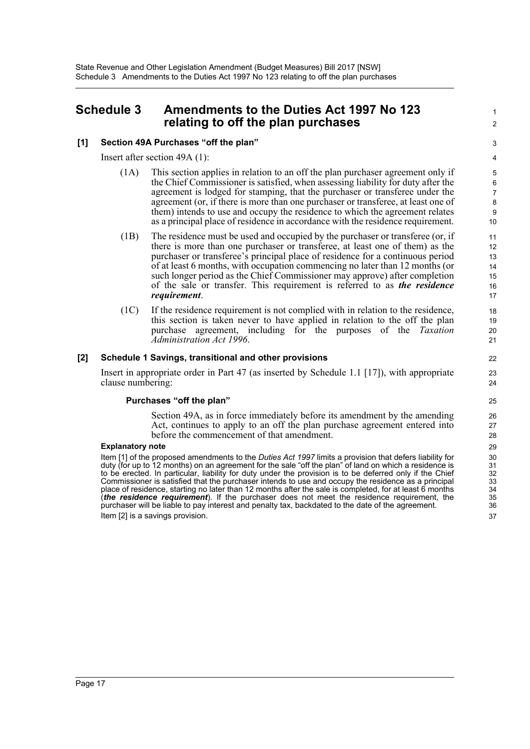## <span id="page-19-0"></span>**Schedule 3 Amendments to the Duties Act 1997 No 123 relating to off the plan purchases**

## **[1] Section 49A Purchases "off the plan"**

Insert after section 49A (1):

- (1A) This section applies in relation to an off the plan purchaser agreement only if the Chief Commissioner is satisfied, when assessing liability for duty after the agreement is lodged for stamping, that the purchaser or transferee under the agreement (or, if there is more than one purchaser or transferee, at least one of them) intends to use and occupy the residence to which the agreement relates as a principal place of residence in accordance with the residence requirement.
- (1B) The residence must be used and occupied by the purchaser or transferee (or, if there is more than one purchaser or transferee, at least one of them) as the purchaser or transferee's principal place of residence for a continuous period of at least 6 months, with occupation commencing no later than 12 months (or such longer period as the Chief Commissioner may approve) after completion of the sale or transfer. This requirement is referred to as *the residence requirement*.
- (1C) If the residence requirement is not complied with in relation to the residence, this section is taken never to have applied in relation to the off the plan purchase agreement, including for the purposes of the *Taxation Administration Act 1996*.

## **[2] Schedule 1 Savings, transitional and other provisions**

Insert in appropriate order in Part 47 (as inserted by Schedule 1.1 [17]), with appropriate clause numbering:

## **Purchases "off the plan"**

Section 49A, as in force immediately before its amendment by the amending Act, continues to apply to an off the plan purchase agreement entered into before the commencement of that amendment.

### **Explanatory note**

Item [1] of the proposed amendments to the *Duties Act 1997* limits a provision that defers liability for duty (for up to 12 months) on an agreement for the sale "off the plan" of land on which a residence is to be erected. In particular, liability for duty under the provision is to be deferred only if the Chief Commissioner is satisfied that the purchaser intends to use and occupy the residence as a principal place of residence, starting no later than 12 months after the sale is completed, for at least 6 months (*the residence requirement*). If the purchaser does not meet the residence requirement, the purchaser will be liable to pay interest and penalty tax, backdated to the date of the agreement. Item [2] is a savings provision.

1  $\overline{2}$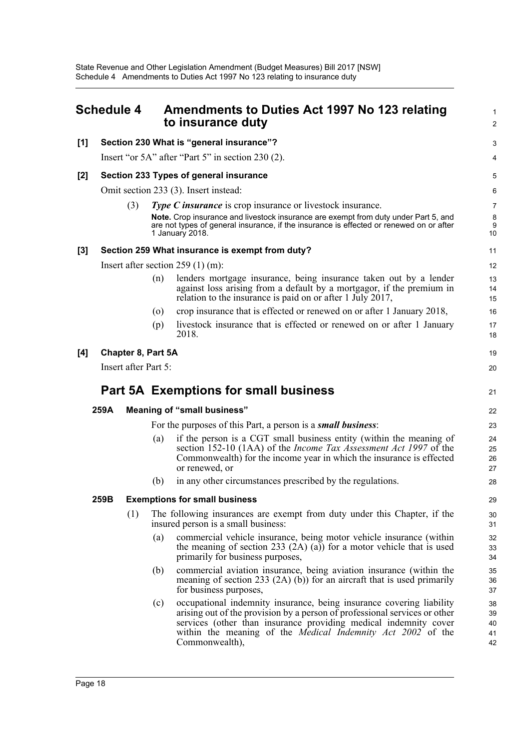<span id="page-20-0"></span>

|       | <b>Schedule 4</b> |                      |     | Amendments to Duties Act 1997 No 123 relating<br>to insurance duty                                                                                                                                                                                                     | $\mathbf{1}$<br>$\overline{2}$       |
|-------|-------------------|----------------------|-----|------------------------------------------------------------------------------------------------------------------------------------------------------------------------------------------------------------------------------------------------------------------------|--------------------------------------|
| [1]   |                   |                      |     | Section 230 What is "general insurance"?                                                                                                                                                                                                                               | 3                                    |
|       |                   |                      |     | Insert "or 5A" after "Part 5" in section 230 (2).                                                                                                                                                                                                                      | 4                                    |
| $[2]$ |                   |                      |     | Section 233 Types of general insurance                                                                                                                                                                                                                                 | 5                                    |
|       |                   |                      |     | Omit section 233 (3). Insert instead:                                                                                                                                                                                                                                  | 6                                    |
|       |                   | (3)                  |     | <b>Type C insurance</b> is crop insurance or livestock insurance.<br>Note. Crop insurance and livestock insurance are exempt from duty under Part 5, and<br>are not types of general insurance, if the insurance is effected or renewed on or after<br>1 January 2018. | $\overline{7}$<br>$\bf 8$<br>9<br>10 |
| $[3]$ |                   |                      |     | Section 259 What insurance is exempt from duty?                                                                                                                                                                                                                        | 11                                   |
|       |                   |                      |     | Insert after section $259(1)$ (m):                                                                                                                                                                                                                                     | 12                                   |
|       |                   |                      | (n) | lenders mortgage insurance, being insurance taken out by a lender<br>against loss arising from a default by a mortgagor, if the premium in<br>relation to the insurance is paid on or after 1 July 2017,                                                               | 13<br>14<br>15                       |
|       |                   |                      | (0) | crop insurance that is effected or renewed on or after 1 January 2018,                                                                                                                                                                                                 | 16                                   |
|       |                   |                      | (p) | livestock insurance that is effected or renewed on or after 1 January<br>2018.                                                                                                                                                                                         | 17<br>18                             |
| [4]   |                   | Chapter 8, Part 5A   |     |                                                                                                                                                                                                                                                                        | 19                                   |
|       |                   | Insert after Part 5: |     |                                                                                                                                                                                                                                                                        | 20                                   |
|       |                   |                      |     | Part 5A Exemptions for small business                                                                                                                                                                                                                                  | 21                                   |
|       | 259A              |                      |     | <b>Meaning of "small business"</b>                                                                                                                                                                                                                                     | 22                                   |
|       |                   |                      |     | For the purposes of this Part, a person is a small business:                                                                                                                                                                                                           | 23                                   |
|       |                   |                      | (a) | if the person is a CGT small business entity (within the meaning of<br>section 152-10 (1AA) of the <i>Income Tax Assessment Act 1997</i> of the<br>Commonwealth) for the income year in which the insurance is effected<br>or renewed, or                              | 24<br>25<br>26<br>27                 |
|       |                   |                      | (b) | in any other circumstances prescribed by the regulations.                                                                                                                                                                                                              | 28                                   |
|       | 259B              |                      |     | <b>Exemptions for small business</b>                                                                                                                                                                                                                                   | 29                                   |
|       |                   |                      |     |                                                                                                                                                                                                                                                                        |                                      |
|       |                   | (1)                  |     | The following insurances are exempt from duty under this Chapter, if the<br>insured person is a small business:                                                                                                                                                        | 30<br>31                             |
|       |                   |                      | (a) | commercial vehicle insurance, being motor vehicle insurance (within<br>the meaning of section 233 $(2A)$ (a)) for a motor vehicle that is used<br>primarily for business purposes,                                                                                     | 32<br>33<br>34                       |
|       |                   |                      | (b) | commercial aviation insurance, being aviation insurance (within the<br>meaning of section 233 $(2A)$ (b)) for an aircraft that is used primarily<br>for business purposes,                                                                                             | 35<br>36<br>37                       |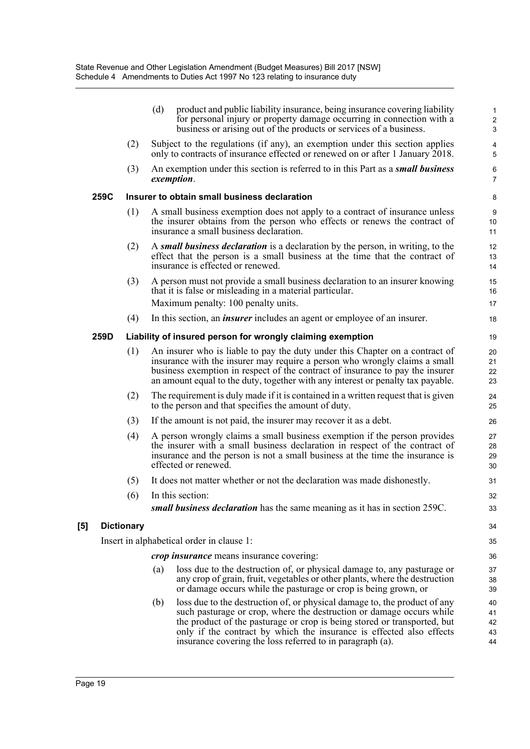|      |                   | (d) | product and public liability insurance, being insurance covering liability<br>for personal injury or property damage occurring in connection with a<br>business or arising out of the products or services of a business.                                                                                                                                          | $\mathbf{1}$<br>$\boldsymbol{2}$<br>3 |
|------|-------------------|-----|--------------------------------------------------------------------------------------------------------------------------------------------------------------------------------------------------------------------------------------------------------------------------------------------------------------------------------------------------------------------|---------------------------------------|
|      | (2)               |     | Subject to the regulations (if any), an exemption under this section applies<br>only to contracts of insurance effected or renewed on or after 1 January 2018.                                                                                                                                                                                                     | 4<br>5                                |
|      | (3)               |     | An exemption under this section is referred to in this Part as a <i>small business</i><br>exemption.                                                                                                                                                                                                                                                               | 6<br>$\overline{7}$                   |
| 259C |                   |     | Insurer to obtain small business declaration                                                                                                                                                                                                                                                                                                                       | 8                                     |
|      | (1)               |     | A small business exemption does not apply to a contract of insurance unless<br>the insurer obtains from the person who effects or renews the contract of<br>insurance a small business declaration.                                                                                                                                                                | 9<br>10<br>11                         |
|      | (2)               |     | A small business declaration is a declaration by the person, in writing, to the<br>effect that the person is a small business at the time that the contract of<br>insurance is effected or renewed.                                                                                                                                                                | 12<br>13<br>14                        |
|      | (3)               |     | A person must not provide a small business declaration to an insurer knowing<br>that it is false or misleading in a material particular.                                                                                                                                                                                                                           | 15<br>16                              |
|      |                   |     | Maximum penalty: 100 penalty units.                                                                                                                                                                                                                                                                                                                                | 17                                    |
|      | (4)               |     | In this section, an <i>insurer</i> includes an agent or employee of an insurer.                                                                                                                                                                                                                                                                                    | 18                                    |
| 259D |                   |     | Liability of insured person for wrongly claiming exemption                                                                                                                                                                                                                                                                                                         | 19                                    |
|      | (1)               |     | An insurer who is liable to pay the duty under this Chapter on a contract of<br>insurance with the insurer may require a person who wrongly claims a small<br>business exemption in respect of the contract of insurance to pay the insurer<br>an amount equal to the duty, together with any interest or penalty tax payable.                                     | 20<br>21<br>22<br>23                  |
|      | (2)               |     | The requirement is duly made if it is contained in a written request that is given<br>to the person and that specifies the amount of duty.                                                                                                                                                                                                                         | 24<br>25                              |
|      | (3)               |     | If the amount is not paid, the insurer may recover it as a debt.                                                                                                                                                                                                                                                                                                   | 26                                    |
|      | (4)               |     | A person wrongly claims a small business exemption if the person provides<br>the insurer with a small business declaration in respect of the contract of<br>insurance and the person is not a small business at the time the insurance is<br>effected or renewed.                                                                                                  | 27<br>28<br>29<br>30                  |
|      | (5)               |     | It does not matter whether or not the declaration was made dishonestly.                                                                                                                                                                                                                                                                                            | 31                                    |
|      | (6)               |     | In this section:                                                                                                                                                                                                                                                                                                                                                   | 32                                    |
|      |                   |     | small business declaration has the same meaning as it has in section 259C.                                                                                                                                                                                                                                                                                         | 33                                    |
|      | <b>Dictionary</b> |     |                                                                                                                                                                                                                                                                                                                                                                    | 34                                    |
|      |                   |     | Insert in alphabetical order in clause 1:                                                                                                                                                                                                                                                                                                                          | 35                                    |
|      |                   |     | <i>crop insurance</i> means insurance covering:                                                                                                                                                                                                                                                                                                                    | 36                                    |
|      |                   | (a) | loss due to the destruction of, or physical damage to, any pasturage or<br>any crop of grain, fruit, vegetables or other plants, where the destruction<br>or damage occurs while the pasturage or crop is being grown, or                                                                                                                                          | 37<br>38<br>39                        |
|      |                   | (b) | loss due to the destruction of, or physical damage to, the product of any<br>such pasturage or crop, where the destruction or damage occurs while<br>the product of the pasturage or crop is being stored or transported, but<br>only if the contract by which the insurance is effected also effects<br>insurance covering the loss referred to in paragraph (a). | 40<br>41<br>42<br>43<br>44            |

 $[5]$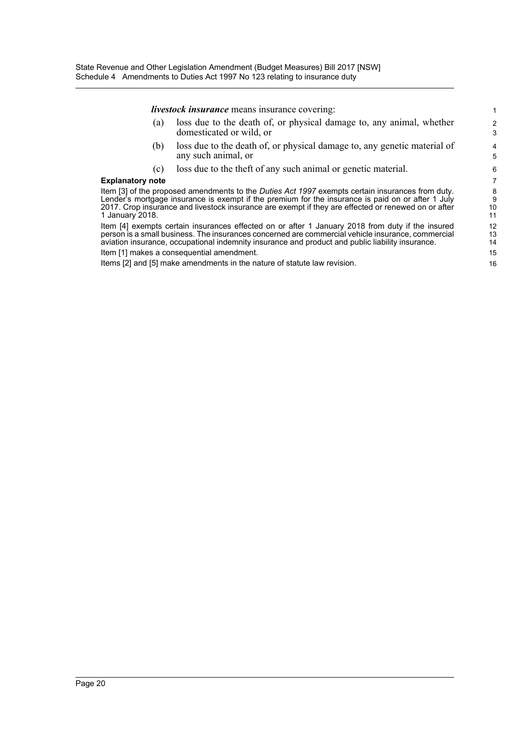*livestock insurance* means insurance covering:

(a) loss due to the death of, or physical damage to, any animal, whether domesticated or wild, or

- (b) loss due to the death of, or physical damage to, any genetic material of any such animal, or
- (c) loss due to the theft of any such animal or genetic material.

#### **Explanatory note**

Item [3] of the proposed amendments to the *Duties Act 1997* exempts certain insurances from duty. Lender's mortgage insurance is exempt if the premium for the insurance is paid on or after 1 July 2017. Crop insurance and livestock insurance are exempt if they are effected or renewed on or after 1 January 2018.

Item [4] exempts certain insurances effected on or after 1 January 2018 from duty if the insured person is a small business. The insurances concerned are commercial vehicle insurance, commercial aviation insurance, occupational indemnity insurance and product and public liability insurance.

Item [1] makes a consequential amendment.

Items [2] and [5] make amendments in the nature of statute law revision.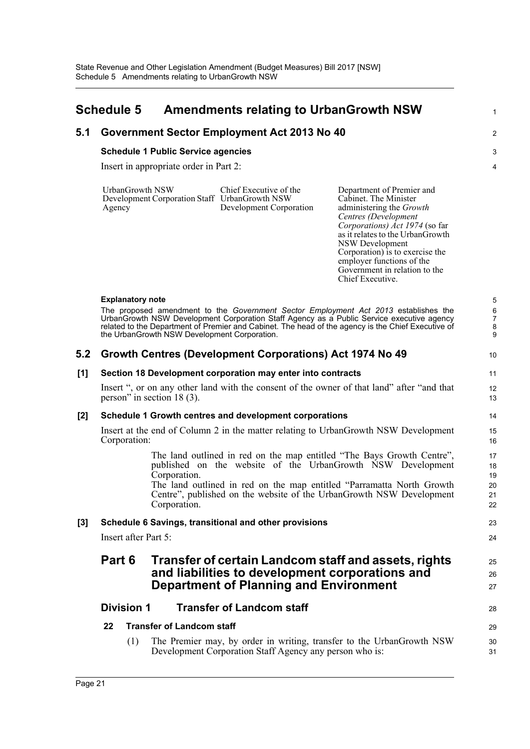<span id="page-23-0"></span>

|       | <b>Schedule 5</b>                |                                              | <b>Amendments relating to UrbanGrowth NSW</b>                                                      |                                                                                                                                                                                                                                                                                                                             | 1                             |
|-------|----------------------------------|----------------------------------------------|----------------------------------------------------------------------------------------------------|-----------------------------------------------------------------------------------------------------------------------------------------------------------------------------------------------------------------------------------------------------------------------------------------------------------------------------|-------------------------------|
| 5.1   |                                  |                                              | Government Sector Employment Act 2013 No 40                                                        |                                                                                                                                                                                                                                                                                                                             | $\overline{c}$                |
|       |                                  | <b>Schedule 1 Public Service agencies</b>    |                                                                                                    |                                                                                                                                                                                                                                                                                                                             | 3                             |
|       |                                  | Insert in appropriate order in Part 2:       |                                                                                                    |                                                                                                                                                                                                                                                                                                                             | $\overline{4}$                |
|       | <b>UrbanGrowth NSW</b><br>Agency |                                              | Chief Executive of the<br>Development Corporation Staff UrbanGrowth NSW<br>Development Corporation | Department of Premier and<br>Cabinet. The Minister<br>administering the Growth<br>Centres (Development<br>Corporations) Act 1974 (so far<br>as it relates to the UrbanGrowth<br><b>NSW Development</b><br>Corporation) is to exercise the<br>employer functions of the<br>Government in relation to the<br>Chief Executive. |                               |
|       | <b>Explanatory note</b>          |                                              |                                                                                                    |                                                                                                                                                                                                                                                                                                                             | 5                             |
|       |                                  | the UrbanGrowth NSW Development Corporation. |                                                                                                    | The proposed amendment to the Government Sector Employment Act 2013 establishes the<br>UrbanGrowth NSW Development Corporation Staff Agency as a Public Service executive agency<br>related to the Department of Premier and Cabinet. The head of the agency is the Chief Executive of                                      | 6<br>$\overline{7}$<br>8<br>9 |
| 5.2   |                                  |                                              | Growth Centres (Development Corporations) Act 1974 No 49                                           |                                                                                                                                                                                                                                                                                                                             | 10                            |
| [1]   |                                  |                                              | Section 18 Development corporation may enter into contracts                                        |                                                                                                                                                                                                                                                                                                                             | 11                            |
|       |                                  | person" in section $18(3)$ .                 |                                                                                                    | Insert ", or on any other land with the consent of the owner of that land" after "and that                                                                                                                                                                                                                                  | 12<br>13                      |
| $[2]$ |                                  |                                              | Schedule 1 Growth centres and development corporations                                             |                                                                                                                                                                                                                                                                                                                             | 14                            |
|       | Corporation:                     |                                              |                                                                                                    | Insert at the end of Column 2 in the matter relating to UrbanGrowth NSW Development                                                                                                                                                                                                                                         | 15<br>16                      |
|       |                                  | Corporation.                                 |                                                                                                    | The land outlined in red on the map entitled "The Bays Growth Centre",<br>published on the website of the UrbanGrowth NSW Development                                                                                                                                                                                       | 17<br>18<br>19                |
|       |                                  | Corporation.                                 |                                                                                                    | The land outlined in red on the map entitled "Parramatta North Growth"<br>Centre", published on the website of the UrbanGrowth NSW Development                                                                                                                                                                              | 20<br>21<br>22                |
| $[3]$ |                                  |                                              | Schedule 6 Savings, transitional and other provisions                                              |                                                                                                                                                                                                                                                                                                                             | 23                            |
|       | Insert after Part 5:             |                                              |                                                                                                    |                                                                                                                                                                                                                                                                                                                             | 24                            |
|       | Part 6                           |                                              | <b>Department of Planning and Environment</b>                                                      | Transfer of certain Landcom staff and assets, rights<br>and liabilities to development corporations and                                                                                                                                                                                                                     | 25<br>26<br>27                |
|       | <b>Division 1</b>                |                                              | <b>Transfer of Landcom staff</b>                                                                   |                                                                                                                                                                                                                                                                                                                             | 28                            |
|       | 22                               | <b>Transfer of Landcom staff</b>             |                                                                                                    |                                                                                                                                                                                                                                                                                                                             | 29                            |
|       | (1)                              |                                              | Development Corporation Staff Agency any person who is:                                            | The Premier may, by order in writing, transfer to the UrbanGrowth NSW                                                                                                                                                                                                                                                       | 30<br>31                      |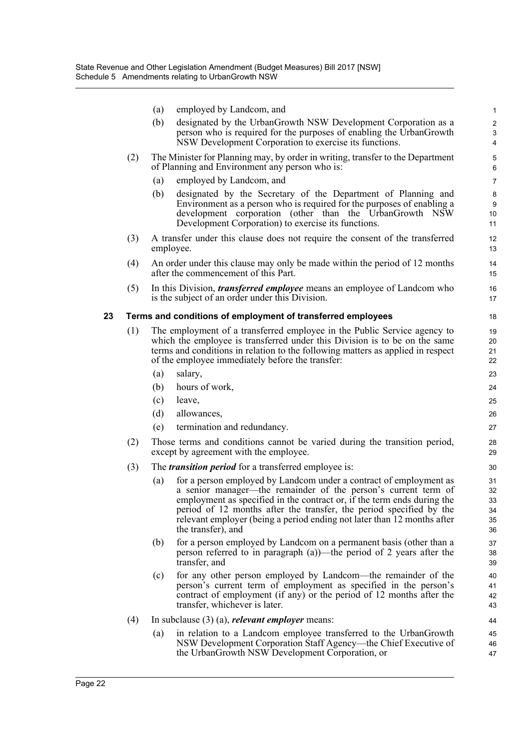|    |     | (a)        | employed by Landcom, and                                                                                                                                                                                                                                                                                                                                                                | $\mathbf{1}$                     |
|----|-----|------------|-----------------------------------------------------------------------------------------------------------------------------------------------------------------------------------------------------------------------------------------------------------------------------------------------------------------------------------------------------------------------------------------|----------------------------------|
|    |     | (b)        | designated by the UrbanGrowth NSW Development Corporation as a                                                                                                                                                                                                                                                                                                                          | $\overline{c}$                   |
|    |     |            | person who is required for the purposes of enabling the UrbanGrowth<br>NSW Development Corporation to exercise its functions.                                                                                                                                                                                                                                                           | 3<br>4                           |
|    | (2) |            | The Minister for Planning may, by order in writing, transfer to the Department<br>of Planning and Environment any person who is:                                                                                                                                                                                                                                                        | 5<br>6                           |
|    |     | (a)        | employed by Landcom, and                                                                                                                                                                                                                                                                                                                                                                | $\overline{7}$                   |
|    |     | (b)        | designated by the Secretary of the Department of Planning and                                                                                                                                                                                                                                                                                                                           | 8                                |
|    |     |            | Environment as a person who is required for the purposes of enabling a<br>development corporation (other than the UrbanGrowth NSW                                                                                                                                                                                                                                                       | 9<br>10 <sup>1</sup>             |
|    |     |            | Development Corporation) to exercise its functions.                                                                                                                                                                                                                                                                                                                                     | 11                               |
|    | (3) |            | A transfer under this clause does not require the consent of the transferred                                                                                                                                                                                                                                                                                                            | 12                               |
|    |     |            | employee.                                                                                                                                                                                                                                                                                                                                                                               | 13                               |
|    | (4) |            | An order under this clause may only be made within the period of 12 months<br>after the commencement of this Part.                                                                                                                                                                                                                                                                      | 14<br>15                         |
|    | (5) |            | In this Division, <i>transferred employee</i> means an employee of Landcom who<br>is the subject of an order under this Division.                                                                                                                                                                                                                                                       | 16<br>17                         |
| 23 |     |            | Terms and conditions of employment of transferred employees                                                                                                                                                                                                                                                                                                                             | 18                               |
|    | (1) |            | The employment of a transferred employee in the Public Service agency to                                                                                                                                                                                                                                                                                                                | 19                               |
|    |     |            | which the employee is transferred under this Division is to be on the same                                                                                                                                                                                                                                                                                                              | 20                               |
|    |     |            | terms and conditions in relation to the following matters as applied in respect                                                                                                                                                                                                                                                                                                         | 21                               |
|    |     |            | of the employee immediately before the transfer:                                                                                                                                                                                                                                                                                                                                        | 22                               |
|    |     | (a)        | salary,                                                                                                                                                                                                                                                                                                                                                                                 | 23                               |
|    |     | (b)<br>(c) | hours of work,<br>leave,                                                                                                                                                                                                                                                                                                                                                                | 24                               |
|    |     | (d)        | allowances,                                                                                                                                                                                                                                                                                                                                                                             | 25<br>26                         |
|    |     | (e)        | termination and redundancy.                                                                                                                                                                                                                                                                                                                                                             | 27                               |
|    |     |            |                                                                                                                                                                                                                                                                                                                                                                                         |                                  |
|    | (2) |            | Those terms and conditions cannot be varied during the transition period,<br>except by agreement with the employee.                                                                                                                                                                                                                                                                     | 28<br>29                         |
|    | (3) |            | The <i>transition period</i> for a transferred employee is:                                                                                                                                                                                                                                                                                                                             | 30                               |
|    |     | (a)        | for a person employed by Landcom under a contract of employment as<br>a senior manager—the remainder of the person's current term of<br>employment as specified in the contract or, if the term ends during the<br>period of 12 months after the transfer, the period specified by the<br>relevant employer (being a period ending not later than 12 months after<br>the transfer), and | 31<br>32<br>33<br>34<br>35<br>36 |
|    |     | (b)        | for a person employed by Landcom on a permanent basis (other than a<br>person referred to in paragraph $(a)$ —the period of 2 years after the<br>transfer, and                                                                                                                                                                                                                          | 37<br>38<br>39                   |
|    |     | (c)        | for any other person employed by Landcom—the remainder of the<br>person's current term of employment as specified in the person's<br>contract of employment (if any) or the period of 12 months after the<br>transfer, whichever is later.                                                                                                                                              | 40<br>41<br>42<br>43             |
|    | (4) |            | In subclause $(3)$ (a), <i>relevant employer</i> means:                                                                                                                                                                                                                                                                                                                                 | 44                               |
|    |     | (a)        | in relation to a Landcom employee transferred to the UrbanGrowth<br>NSW Development Corporation Staff Agency—the Chief Executive of<br>the UrbanGrowth NSW Development Corporation, or                                                                                                                                                                                                  | 45<br>46<br>47                   |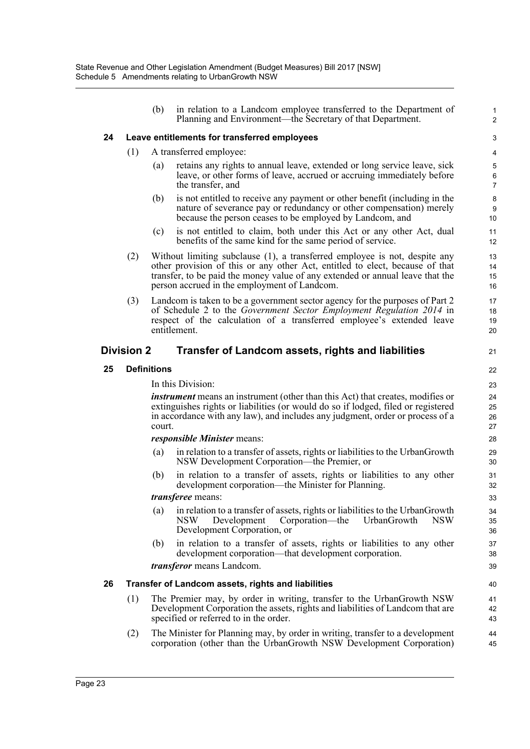|    |                                              | (b)                     | in relation to a Landcom employee transferred to the Department of<br>Planning and Environment—the Secretary of that Department.                                                                                                                                                            | $\mathbf{1}$<br>$\overline{2}$ |  |  |  |  |
|----|----------------------------------------------|-------------------------|---------------------------------------------------------------------------------------------------------------------------------------------------------------------------------------------------------------------------------------------------------------------------------------------|--------------------------------|--|--|--|--|
| 24 | Leave entitlements for transferred employees |                         |                                                                                                                                                                                                                                                                                             |                                |  |  |  |  |
|    | (1)                                          | A transferred employee: |                                                                                                                                                                                                                                                                                             |                                |  |  |  |  |
|    |                                              | (a)                     | retains any rights to annual leave, extended or long service leave, sick<br>leave, or other forms of leave, accrued or accruing immediately before<br>the transfer, and                                                                                                                     | 5<br>6<br>$\overline{7}$       |  |  |  |  |
|    |                                              | (b)                     | is not entitled to receive any payment or other benefit (including in the<br>nature of severance pay or redundancy or other compensation) merely<br>because the person ceases to be employed by Landcom, and                                                                                | 8<br>9<br>10 <sup>1</sup>      |  |  |  |  |
|    |                                              | (c)                     | is not entitled to claim, both under this Act or any other Act, dual<br>benefits of the same kind for the same period of service.                                                                                                                                                           | 11<br>12                       |  |  |  |  |
|    | (2)                                          |                         | Without limiting subclause (1), a transferred employee is not, despite any<br>other provision of this or any other Act, entitled to elect, because of that<br>transfer, to be paid the money value of any extended or annual leave that the<br>person accrued in the employment of Landcom. | 13<br>14<br>15<br>16           |  |  |  |  |
|    | (3)                                          |                         | Landcom is taken to be a government sector agency for the purposes of Part 2<br>of Schedule 2 to the Government Sector Employment Regulation 2014 in<br>respect of the calculation of a transferred employee's extended leave<br>entitlement.                                               | 17<br>18<br>19<br>20           |  |  |  |  |
|    | <b>Division 2</b>                            |                         | <b>Transfer of Landcom assets, rights and liabilities</b>                                                                                                                                                                                                                                   | 21                             |  |  |  |  |
| 25 |                                              | <b>Definitions</b>      |                                                                                                                                                                                                                                                                                             | 22                             |  |  |  |  |
|    |                                              | In this Division:       |                                                                                                                                                                                                                                                                                             |                                |  |  |  |  |
|    |                                              | court.                  | <i>instrument</i> means an instrument (other than this Act) that creates, modifies or<br>extinguishes rights or liabilities (or would do so if lodged, filed or registered<br>in accordance with any law), and includes any judgment, order or process of a                                 | 24<br>25<br>26<br>27           |  |  |  |  |
|    |                                              |                         | responsible Minister means:                                                                                                                                                                                                                                                                 | 28                             |  |  |  |  |
|    |                                              | (a)                     | in relation to a transfer of assets, rights or liabilities to the UrbanGrowth<br>NSW Development Corporation—the Premier, or                                                                                                                                                                | 29<br>30                       |  |  |  |  |
|    |                                              | (b)                     | in relation to a transfer of assets, rights or liabilities to any other<br>development corporation—the Minister for Planning.                                                                                                                                                               | 31<br>32                       |  |  |  |  |
|    |                                              |                         | <i>transferee</i> means:                                                                                                                                                                                                                                                                    | 33                             |  |  |  |  |
|    |                                              | (a)                     | in relation to a transfer of assets, rights or liabilities to the UrbanGrowth<br><b>NSW</b><br>Development<br>Corporation—the<br>UrbanGrowth<br>NSW<br>Development Corporation, or                                                                                                          | 34<br>35<br>36                 |  |  |  |  |
|    |                                              | (b)                     | in relation to a transfer of assets, rights or liabilities to any other<br>development corporation—that development corporation.                                                                                                                                                            | 37<br>38                       |  |  |  |  |
|    |                                              |                         | <i>transferor</i> means Landcom.                                                                                                                                                                                                                                                            | 39                             |  |  |  |  |
| 26 |                                              |                         | Transfer of Landcom assets, rights and liabilities                                                                                                                                                                                                                                          | 40                             |  |  |  |  |
|    | (1)                                          |                         | The Premier may, by order in writing, transfer to the UrbanGrowth NSW<br>Development Corporation the assets, rights and liabilities of Landcom that are<br>specified or referred to in the order.                                                                                           | 41<br>42<br>43                 |  |  |  |  |
|    | (2)                                          |                         | The Minister for Planning may, by order in writing, transfer to a development<br>corporation (other than the UrbanGrowth NSW Development Corporation)                                                                                                                                       | 44<br>45                       |  |  |  |  |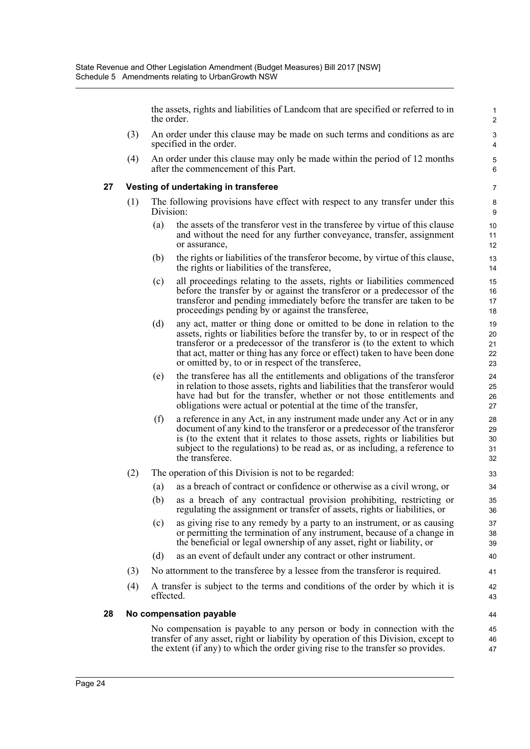the assets, rights and liabilities of Landcom that are specified or referred to in the order.

- (3) An order under this clause may be made on such terms and conditions as are specified in the order.
- (4) An order under this clause may only be made within the period of 12 months after the commencement of this Part.

## **27 Vesting of undertaking in transferee**

- (1) The following provisions have effect with respect to any transfer under this Division:
	- (a) the assets of the transferor vest in the transferee by virtue of this clause and without the need for any further conveyance, transfer, assignment or assurance,
	- (b) the rights or liabilities of the transferor become, by virtue of this clause, the rights or liabilities of the transferee,
	- (c) all proceedings relating to the assets, rights or liabilities commenced before the transfer by or against the transferor or a predecessor of the transferor and pending immediately before the transfer are taken to be proceedings pending by or against the transferee,
	- (d) any act, matter or thing done or omitted to be done in relation to the assets, rights or liabilities before the transfer by, to or in respect of the transferor or a predecessor of the transferor is (to the extent to which that act, matter or thing has any force or effect) taken to have been done or omitted by, to or in respect of the transferee,
	- (e) the transferee has all the entitlements and obligations of the transferor in relation to those assets, rights and liabilities that the transferor would have had but for the transfer, whether or not those entitlements and obligations were actual or potential at the time of the transfer,
	- (f) a reference in any Act, in any instrument made under any Act or in any document of any kind to the transferor or a predecessor of the transferor is (to the extent that it relates to those assets, rights or liabilities but subject to the regulations) to be read as, or as including, a reference to the transferee.
- (2) The operation of this Division is not to be regarded:
	- (a) as a breach of contract or confidence or otherwise as a civil wrong, or
	- (b) as a breach of any contractual provision prohibiting, restricting or regulating the assignment or transfer of assets, rights or liabilities, or
	- (c) as giving rise to any remedy by a party to an instrument, or as causing or permitting the termination of any instrument, because of a change in the beneficial or legal ownership of any asset, right or liability, or
	- (d) as an event of default under any contract or other instrument.
- (3) No attornment to the transferee by a lessee from the transferor is required.
- (4) A transfer is subject to the terms and conditions of the order by which it is effected.

## **28 No compensation payable**

No compensation is payable to any person or body in connection with the transfer of any asset, right or liability by operation of this Division, except to the extent (if any) to which the order giving rise to the transfer so provides.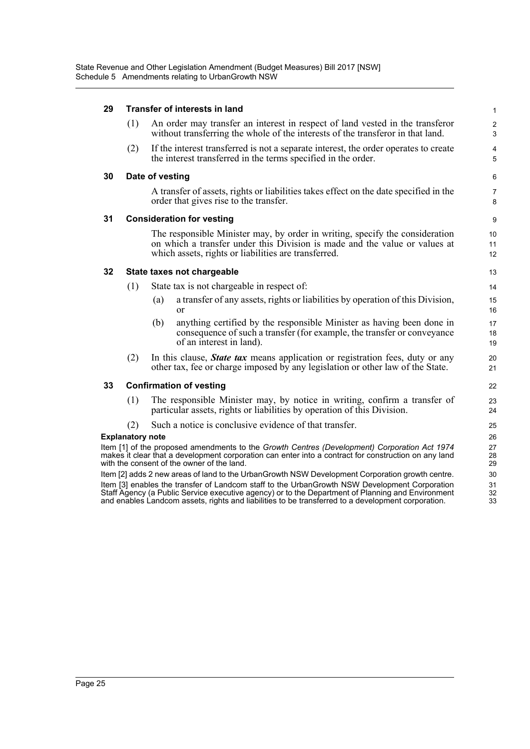## **29 Transfer of interests in land**

| 29 |                         | Transfer of interests in land                                                                                                                                                                                                                                                                            | $\mathbf{1}$                 |
|----|-------------------------|----------------------------------------------------------------------------------------------------------------------------------------------------------------------------------------------------------------------------------------------------------------------------------------------------------|------------------------------|
|    | (1)                     | An order may transfer an interest in respect of land vested in the transferor<br>without transferring the whole of the interests of the transferor in that land.                                                                                                                                         | $\overline{c}$<br>3          |
|    | (2)                     | If the interest transferred is not a separate interest, the order operates to create<br>the interest transferred in the terms specified in the order.                                                                                                                                                    | $\overline{\mathbf{4}}$<br>5 |
| 30 |                         | Date of vesting                                                                                                                                                                                                                                                                                          | 6                            |
|    |                         | A transfer of assets, rights or liabilities takes effect on the date specified in the<br>order that gives rise to the transfer.                                                                                                                                                                          | $\overline{7}$<br>8          |
| 31 |                         | <b>Consideration for vesting</b>                                                                                                                                                                                                                                                                         | 9                            |
|    |                         | The responsible Minister may, by order in writing, specify the consideration<br>on which a transfer under this Division is made and the value or values at<br>which assets, rights or liabilities are transferred.                                                                                       | 10<br>11<br>12               |
| 32 |                         | State taxes not chargeable                                                                                                                                                                                                                                                                               | 13                           |
|    | (1)                     | State tax is not chargeable in respect of:                                                                                                                                                                                                                                                               | 14                           |
|    |                         | a transfer of any assets, rights or liabilities by operation of this Division,<br>(a)<br>or                                                                                                                                                                                                              | 15<br>16                     |
|    |                         | anything certified by the responsible Minister as having been done in<br>(b)<br>consequence of such a transfer (for example, the transfer or conveyance<br>of an interest in land).                                                                                                                      | 17<br>18<br>19               |
|    | (2)                     | In this clause, <b>State tax</b> means application or registration fees, duty or any<br>other tax, fee or charge imposed by any legislation or other law of the State.                                                                                                                                   | 20<br>21                     |
| 33 |                         | <b>Confirmation of vesting</b>                                                                                                                                                                                                                                                                           | 22                           |
|    | (1)                     | The responsible Minister may, by notice in writing, confirm a transfer of<br>particular assets, rights or liabilities by operation of this Division.                                                                                                                                                     | 23<br>24                     |
|    | (2)                     | Such a notice is conclusive evidence of that transfer.                                                                                                                                                                                                                                                   | 25                           |
|    | <b>Explanatory note</b> |                                                                                                                                                                                                                                                                                                          | 26                           |
|    |                         | Item [1] of the proposed amendments to the Growth Centres (Development) Corporation Act 1974<br>makes it clear that a development corporation can enter into a contract for construction on any land<br>with the consent of the owner of the land.                                                       | 27<br>28<br>29               |
|    |                         | Item [2] adds 2 new areas of land to the UrbanGrowth NSW Development Corporation growth centre.                                                                                                                                                                                                          | 30                           |
|    |                         | Item [3] enables the transfer of Landcom staff to the UrbanGrowth NSW Development Corporation<br>Staff Agency (a Public Service executive agency) or to the Department of Planning and Environment<br>and enables Landcom assets, rights and liabilities to be transferred to a development corporation. | 31<br>32<br>33               |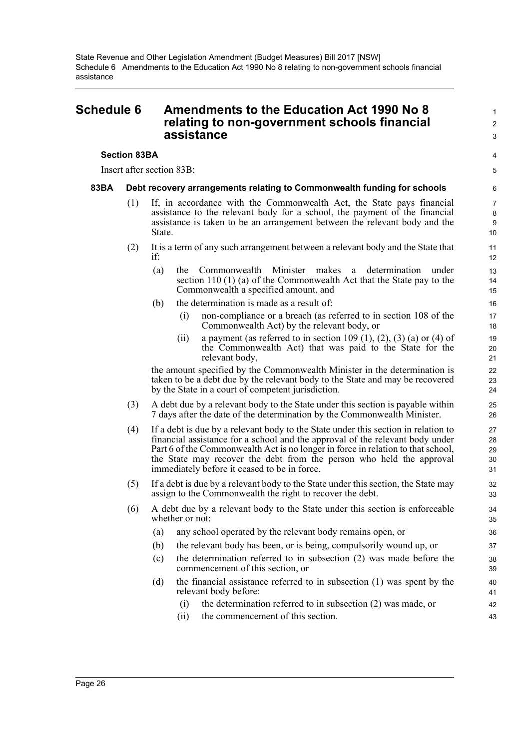## <span id="page-28-0"></span>**Schedule 6 Amendments to the Education Act 1990 No 8 relating to non-government schools financial assistance**

## **Section 83BA**

Insert after section 83B:

## **83BA Debt recovery arrangements relating to Commonwealth funding for schools**

- (1) If, in accordance with the Commonwealth Act, the State pays financial assistance to the relevant body for a school, the payment of the financial assistance is taken to be an arrangement between the relevant body and the State.
- (2) It is a term of any such arrangement between a relevant body and the State that if:
	- (a) the Commonwealth Minister makes a determination under section 110 (1) (a) of the Commonwealth Act that the State pay to the Commonwealth a specified amount, and
	- (b) the determination is made as a result of:
		- (i) non-compliance or a breach (as referred to in section 108 of the Commonwealth Act) by the relevant body, or

1  $\overline{2}$ 3

 $\lambda$ 5

(ii) a payment (as referred to in section 109 (1), (2), (3) (a) or (4) of the Commonwealth Act) that was paid to the State for the relevant body,

the amount specified by the Commonwealth Minister in the determination is taken to be a debt due by the relevant body to the State and may be recovered by the State in a court of competent jurisdiction.

- (3) A debt due by a relevant body to the State under this section is payable within 7 days after the date of the determination by the Commonwealth Minister.
- (4) If a debt is due by a relevant body to the State under this section in relation to financial assistance for a school and the approval of the relevant body under Part 6 of the Commonwealth Act is no longer in force in relation to that school, the State may recover the debt from the person who held the approval immediately before it ceased to be in force.
- (5) If a debt is due by a relevant body to the State under this section, the State may assign to the Commonwealth the right to recover the debt.
- (6) A debt due by a relevant body to the State under this section is enforceable whether or not:
	- (a) any school operated by the relevant body remains open, or
	- (b) the relevant body has been, or is being, compulsorily wound up, or
	- (c) the determination referred to in subsection (2) was made before the commencement of this section, or
	- (d) the financial assistance referred to in subsection (1) was spent by the relevant body before:
		- (i) the determination referred to in subsection (2) was made, or
		- (ii) the commencement of this section.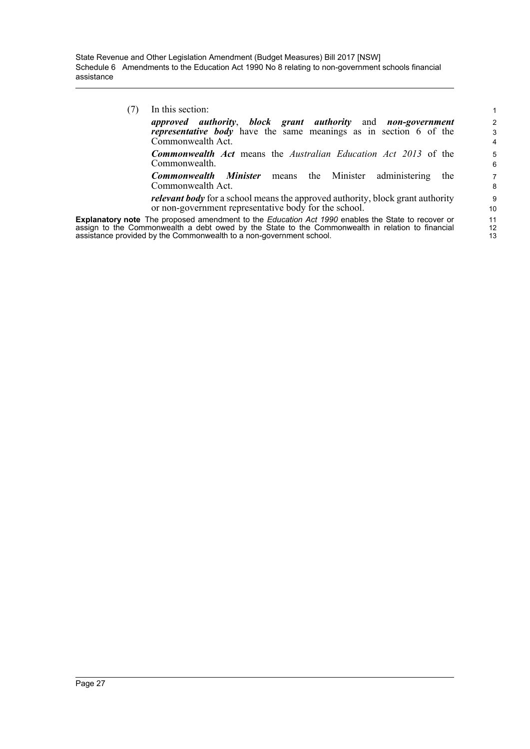(7) In this section: *approved authority*, *block grant authority* and *non-government representative body* have the same meanings as in section 6 of the Commonwealth Act. *Commonwealth Act* means the *Australian Education Act 2013* of the Commonwealth. *Commonwealth Minister* means the Minister administering the Commonwealth Act. *relevant body* for a school means the approved authority, block grant authority

or non-government representative body for the school. **Explanatory note** The proposed amendment to the *Education Act 1990* enables the State to recover or assign to the Commonwealth a debt owed by the State to the Commonwealth in relation to financial assistance provided by the Commonwealth to a non-government school.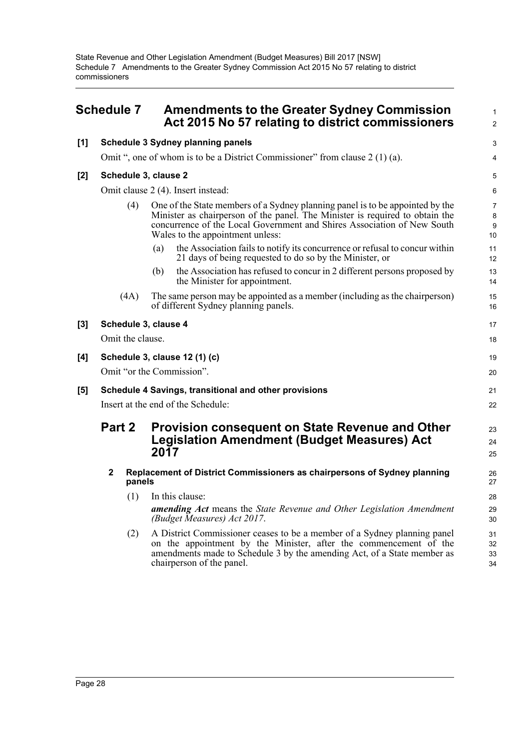State Revenue and Other Legislation Amendment (Budget Measures) Bill 2017 [NSW] Schedule 7 Amendments to the Greater Sydney Commission Act 2015 No 57 relating to district commissioners

## <span id="page-30-0"></span>**Schedule 7 Amendments to the Greater Sydney Commission Act 2015 No 57 relating to district commissioners**

|                     |                                    |                  | Act 2015 No 57 relating to district commissioners                                                                                                                                                                                                                            | 2                    |  |  |
|---------------------|------------------------------------|------------------|------------------------------------------------------------------------------------------------------------------------------------------------------------------------------------------------------------------------------------------------------------------------------|----------------------|--|--|
| [1]                 |                                    |                  | Schedule 3 Sydney planning panels                                                                                                                                                                                                                                            | 3                    |  |  |
|                     |                                    |                  | Omit ", one of whom is to be a District Commissioner" from clause 2 (1) (a).                                                                                                                                                                                                 | 4                    |  |  |
| [2]                 |                                    |                  | Schedule 3, clause 2                                                                                                                                                                                                                                                         | 5                    |  |  |
|                     |                                    |                  | Omit clause 2 (4). Insert instead:                                                                                                                                                                                                                                           | 6                    |  |  |
|                     |                                    | (4)              | One of the State members of a Sydney planning panel is to be appointed by the<br>Minister as chairperson of the panel. The Minister is required to obtain the<br>concurrence of the Local Government and Shires Association of New South<br>Wales to the appointment unless: | 7<br>8<br>9<br>10    |  |  |
|                     |                                    |                  | the Association fails to notify its concurrence or refusal to concur within<br>(a)<br>21 days of being requested to do so by the Minister, or                                                                                                                                | 11<br>12             |  |  |
|                     |                                    |                  | the Association has refused to concur in 2 different persons proposed by<br>(b)<br>the Minister for appointment.                                                                                                                                                             | 13<br>14             |  |  |
|                     |                                    | (4A)             | The same person may be appointed as a member (including as the chairperson)<br>of different Sydney planning panels.                                                                                                                                                          | 15<br>16             |  |  |
| $\bm{\mathsf{[3]}}$ |                                    |                  | Schedule 3, clause 4                                                                                                                                                                                                                                                         | 17                   |  |  |
|                     |                                    | Omit the clause. |                                                                                                                                                                                                                                                                              | 18                   |  |  |
| [4]                 |                                    |                  | Schedule 3, clause 12 (1) (c)                                                                                                                                                                                                                                                | 19                   |  |  |
|                     |                                    |                  | Omit "or the Commission".                                                                                                                                                                                                                                                    | 20                   |  |  |
| [5]                 |                                    |                  | Schedule 4 Savings, transitional and other provisions                                                                                                                                                                                                                        | 21                   |  |  |
|                     | Insert at the end of the Schedule: |                  |                                                                                                                                                                                                                                                                              |                      |  |  |
|                     | Part 2                             |                  | <b>Provision consequent on State Revenue and Other</b><br><b>Legislation Amendment (Budget Measures) Act</b><br>2017                                                                                                                                                         | 23<br>24<br>25       |  |  |
|                     | 2                                  | panels           | Replacement of District Commissioners as chairpersons of Sydney planning                                                                                                                                                                                                     | 26<br>27             |  |  |
|                     |                                    | (1)              | In this clause:<br><b>amending Act</b> means the State Revenue and Other Legislation Amendment<br>(Budget Measures) Act 2017.                                                                                                                                                | 28<br>29<br>30       |  |  |
|                     |                                    | (2)              | A District Commissioner ceases to be a member of a Sydney planning panel<br>on the appointment by the Minister, after the commencement of the<br>amendments made to Schedule 3 by the amending Act, of a State member as<br>chairperson of the panel.                        | 31<br>32<br>33<br>34 |  |  |
|                     |                                    |                  |                                                                                                                                                                                                                                                                              |                      |  |  |